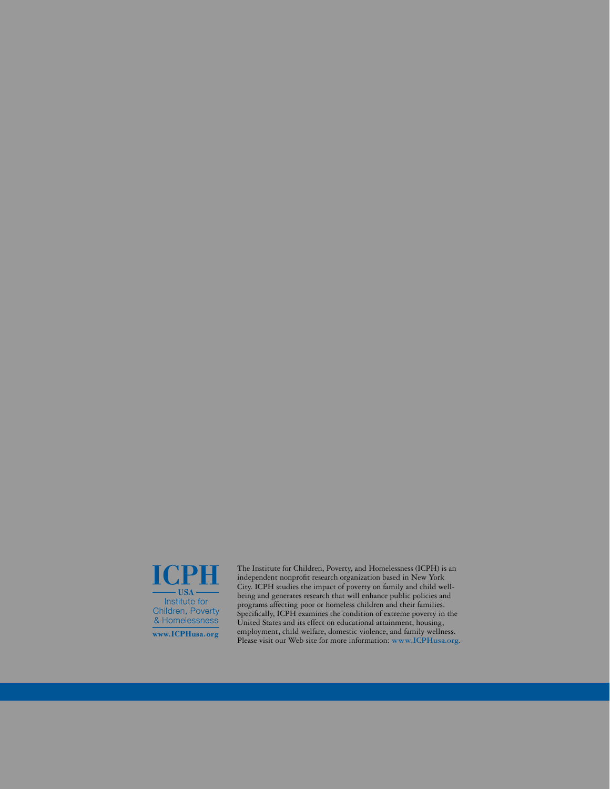

The Institute for Children, Poverty, and Homelessness (ICPH) is an independent nonprofit research organization based in New York City. ICPH studies the impact of poverty on family and child wellbeing and generates research that will enhance public policies and programs affecting poor or homeless children and their families. Specifically, ICPH examines the condition of extreme poverty in the United States and its effect on educational attainment, housing, employment, child welfare, domestic violence, and family wellness. Please visit our Web site for more information: **www.ICPHusa.org**.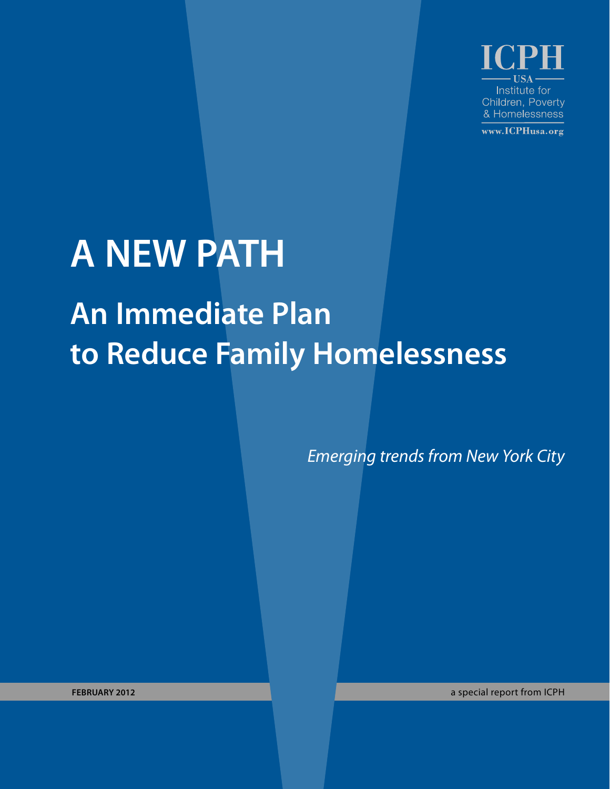Institute for Children, Poverty & Homelessness

www.ICPHusa.org

# **A NEW PATH An Immediate Plan to Reduce Family Homelessness**

*Emerging trends from New York City*

**february 2012** a special report from ICPH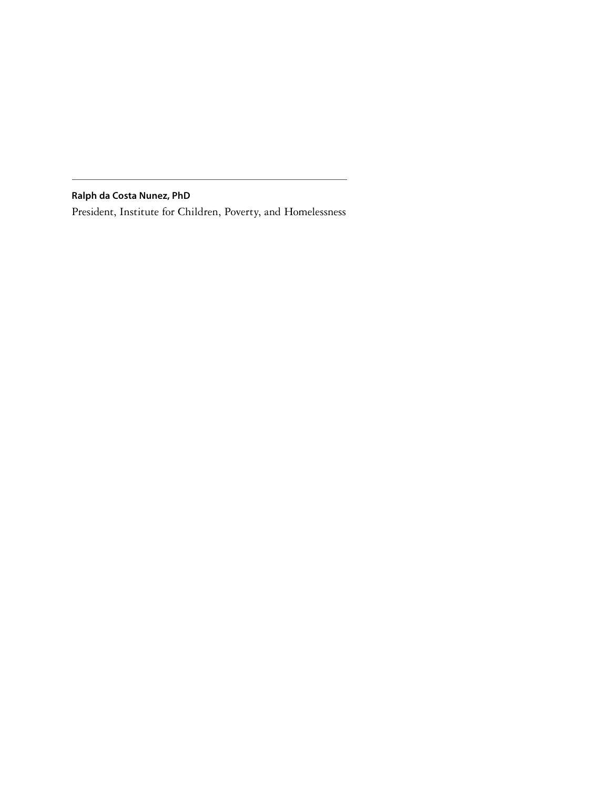**Ralph da Costa Nunez, PhD**

President, Institute for Children, Poverty, and Homelessness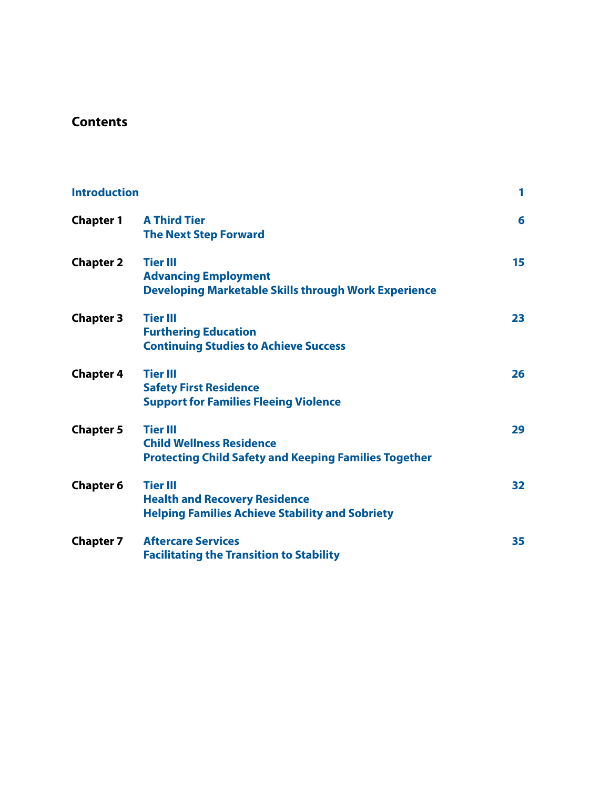## **Contents**

| <b>Introduction</b> |                                                                                                                    | 1  |
|---------------------|--------------------------------------------------------------------------------------------------------------------|----|
| <b>Chapter 1</b>    | <b>A Third Tier</b><br><b>The Next Step Forward</b>                                                                | 6  |
| <b>Chapter 2</b>    | <b>Tier III</b><br><b>Advancing Employment</b><br><b>Developing Marketable Skills through Work Experience</b>      | 15 |
| <b>Chapter 3</b>    | <b>Tier III</b><br><b>Furthering Education</b><br><b>Continuing Studies to Achieve Success</b>                     | 23 |
| <b>Chapter 4</b>    | <b>Tier III</b><br><b>Safety First Residence</b><br><b>Support for Families Fleeing Violence</b>                   | 26 |
| <b>Chapter 5</b>    | <b>Tier III</b><br><b>Child Wellness Residence</b><br><b>Protecting Child Safety and Keeping Families Together</b> | 29 |
| <b>Chapter 6</b>    | <b>Tier III</b><br><b>Health and Recovery Residence</b><br><b>Helping Families Achieve Stability and Sobriety</b>  | 32 |
| <b>Chapter 7</b>    | <b>Aftercare Services</b><br><b>Facilitating the Transition to Stability</b>                                       | 35 |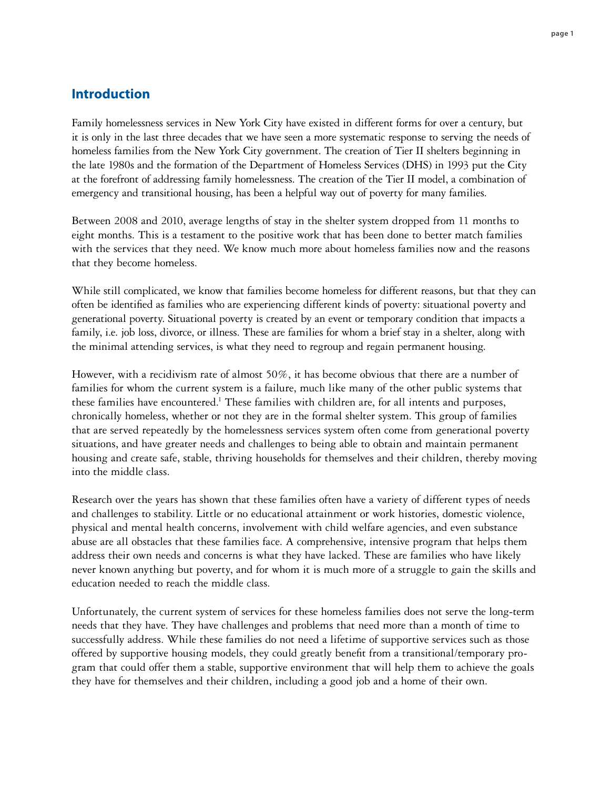## **Introduction**

Family homelessness services in New York City have existed in different forms for over a century, but it is only in the last three decades that we have seen a more systematic response to serving the needs of homeless families from the New York City government. The creation of Tier II shelters beginning in the late 1980s and the formation of the Department of Homeless Services (DHS) in 1993 put the City at the forefront of addressing family homelessness. The creation of the Tier II model, a combination of emergency and transitional housing, has been a helpful way out of poverty for many families.

Between 2008 and 2010, average lengths of stay in the shelter system dropped from 11 months to eight months. This is a testament to the positive work that has been done to better match families with the services that they need. We know much more about homeless families now and the reasons that they become homeless.

While still complicated, we know that families become homeless for different reasons, but that they can often be identified as families who are experiencing different kinds of poverty: situational poverty and generational poverty. Situational poverty is created by an event or temporary condition that impacts a family, i.e. job loss, divorce, or illness. These are families for whom a brief stay in a shelter, along with the minimal attending services, is what they need to regroup and regain permanent housing.

However, with a recidivism rate of almost 50%, it has become obvious that there are a number of families for whom the current system is a failure, much like many of the other public systems that these families have encountered.<sup>1</sup> These families with children are, for all intents and purposes, chronically homeless, whether or not they are in the formal shelter system. This group of families that are served repeatedly by the homelessness services system often come from generational poverty situations, and have greater needs and challenges to being able to obtain and maintain permanent housing and create safe, stable, thriving households for themselves and their children, thereby moving into the middle class.

Research over the years has shown that these families often have a variety of different types of needs and challenges to stability. Little or no educational attainment or work histories, domestic violence, physical and mental health concerns, involvement with child welfare agencies, and even substance abuse are all obstacles that these families face. A comprehensive, intensive program that helps them address their own needs and concerns is what they have lacked. These are families who have likely never known anything but poverty, and for whom it is much more of a struggle to gain the skills and education needed to reach the middle class.

Unfortunately, the current system of services for these homeless families does not serve the long-term needs that they have. They have challenges and problems that need more than a month of time to successfully address. While these families do not need a lifetime of supportive services such as those offered by supportive housing models, they could greatly benefit from a transitional/temporary program that could offer them a stable, supportive environment that will help them to achieve the goals they have for themselves and their children, including a good job and a home of their own.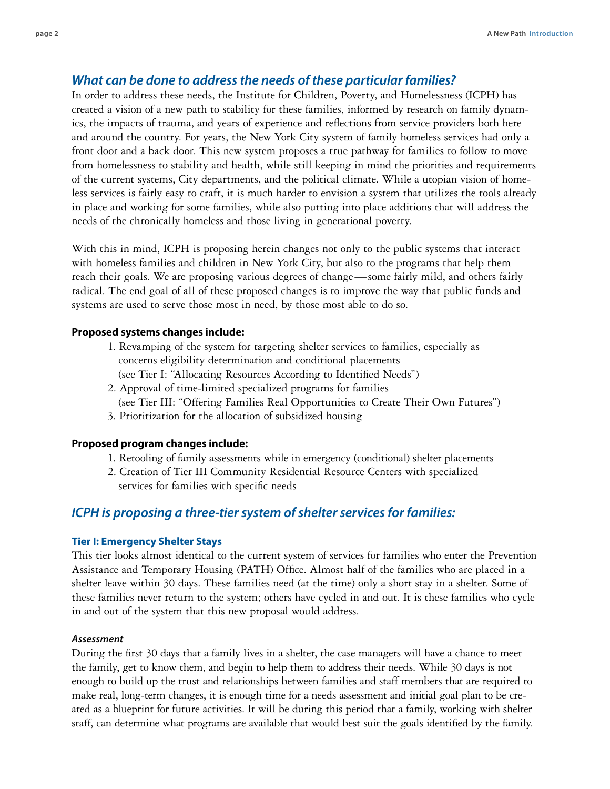## *What can be done to address the needs of these particular families?*

In order to address these needs, the Institute for Children, Poverty, and Homelessness (ICPH) has created a vision of a new path to stability for these families, informed by research on family dynamics, the impacts of trauma, and years of experience and reflections from service providers both here and around the country. For years, the New York City system of family homeless services had only a front door and a back door. This new system proposes a true pathway for families to follow to move from homelessness to stability and health, while still keeping in mind the priorities and requirements of the current systems, City departments, and the political climate. While a utopian vision of homeless services is fairly easy to craft, it is much harder to envision a system that utilizes the tools already in place and working for some families, while also putting into place additions that will address the needs of the chronically homeless and those living in generational poverty.

With this in mind, ICPH is proposing herein changes not only to the public systems that interact with homeless families and children in New York City, but also to the programs that help them reach their goals. We are proposing various degrees of change—some fairly mild, and others fairly radical. The end goal of all of these proposed changes is to improve the way that public funds and systems are used to serve those most in need, by those most able to do so.

#### **Proposed systems changes include:**

- 1. Revamping of the system for targeting shelter services to families, especially as concerns eligibility determination and conditional placements
	- (see Tier I: "Allocating Resources According to Identified Needs")
- 2. Approval of time-limited specialized programs for families (see Tier III: "Offering Families Real Opportunities to Create Their Own Futures")
- 3. Prioritization for the allocation of subsidized housing

#### **Proposed program changes include:**

- 1. Retooling of family assessments while in emergency (conditional) shelter placements
- 2. Creation of Tier III Community Residential Resource Centers with specialized services for families with specific needs

### *ICPH is proposing a three-tier system of shelter services for families:*

#### **Tier I: Emergency Shelter Stays**

This tier looks almost identical to the current system of services for families who enter the Prevention Assistance and Temporary Housing (PATH) Office. Almost half of the families who are placed in a shelter leave within 30 days. These families need (at the time) only a short stay in a shelter. Some of these families never return to the system; others have cycled in and out. It is these families who cycle in and out of the system that this new proposal would address.

#### *Assessment*

During the first 30 days that a family lives in a shelter, the case managers will have a chance to meet the family, get to know them, and begin to help them to address their needs. While 30 days is not enough to build up the trust and relationships between families and staff members that are required to make real, long-term changes, it is enough time for a needs assessment and initial goal plan to be created as a blueprint for future activities. It will be during this period that a family, working with shelter staff, can determine what programs are available that would best suit the goals identified by the family.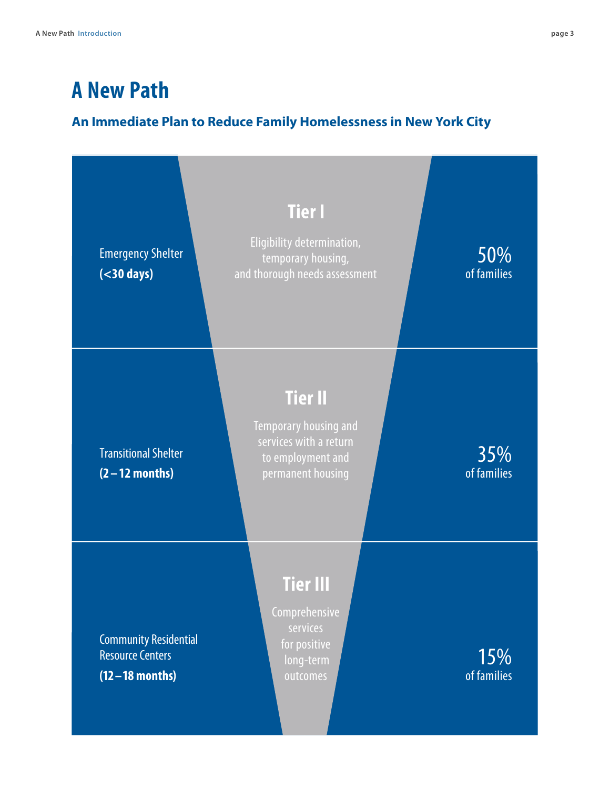## **A New Path**

## **An Immediate Plan to Reduce Family Homelessness in New York City**

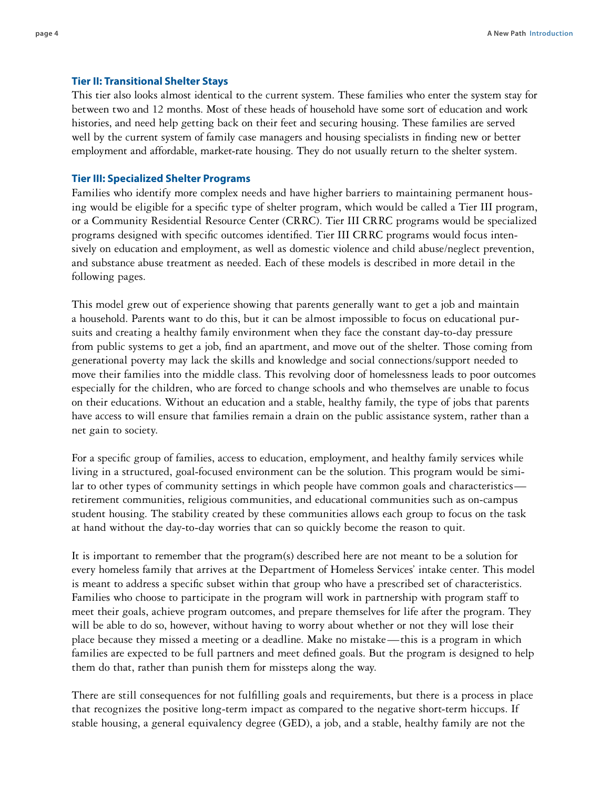#### **Tier II: Transitional Shelter Stays**

This tier also looks almost identical to the current system. These families who enter the system stay for between two and 12 months. Most of these heads of household have some sort of education and work histories, and need help getting back on their feet and securing housing. These families are served well by the current system of family case managers and housing specialists in finding new or better employment and affordable, market-rate housing. They do not usually return to the shelter system.

#### **Tier III: Specialized Shelter Programs**

Families who identify more complex needs and have higher barriers to maintaining permanent housing would be eligible for a specific type of shelter program, which would be called a Tier III program, or a Community Residential Resource Center (CRRC). Tier III CRRC programs would be specialized programs designed with specific outcomes identified. Tier III CRRC programs would focus intensively on education and employment, as well as domestic violence and child abuse/neglect prevention, and substance abuse treatment as needed. Each of these models is described in more detail in the following pages.

This model grew out of experience showing that parents generally want to get a job and maintain a household. Parents want to do this, but it can be almost impossible to focus on educational pursuits and creating a healthy family environment when they face the constant day-to-day pressure from public systems to get a job, find an apartment, and move out of the shelter. Those coming from generational poverty may lack the skills and knowledge and social connections/support needed to move their families into the middle class. This revolving door of homelessness leads to poor outcomes especially for the children, who are forced to change schools and who themselves are unable to focus on their educations. Without an education and a stable, healthy family, the type of jobs that parents have access to will ensure that families remain a drain on the public assistance system, rather than a net gain to society.

For a specific group of families, access to education, employment, and healthy family services while living in a structured, goal-focused environment can be the solution. This program would be similar to other types of community settings in which people have common goals and characteristics retirement communities, religious communities, and educational communities such as on-campus student housing. The stability created by these communities allows each group to focus on the task at hand without the day-to-day worries that can so quickly become the reason to quit.

It is important to remember that the program(s) described here are not meant to be a solution for every homeless family that arrives at the Department of Homeless Services' intake center. This model is meant to address a specific subset within that group who have a prescribed set of characteristics. Families who choose to participate in the program will work in partnership with program staff to meet their goals, achieve program outcomes, and prepare themselves for life after the program. They will be able to do so, however, without having to worry about whether or not they will lose their place because they missed a meeting or a deadline. Make no mistake—this is a program in which families are expected to be full partners and meet defined goals. But the program is designed to help them do that, rather than punish them for missteps along the way.

There are still consequences for not fulfilling goals and requirements, but there is a process in place that recognizes the positive long-term impact as compared to the negative short-term hiccups. If stable housing, a general equivalency degree (GED), a job, and a stable, healthy family are not the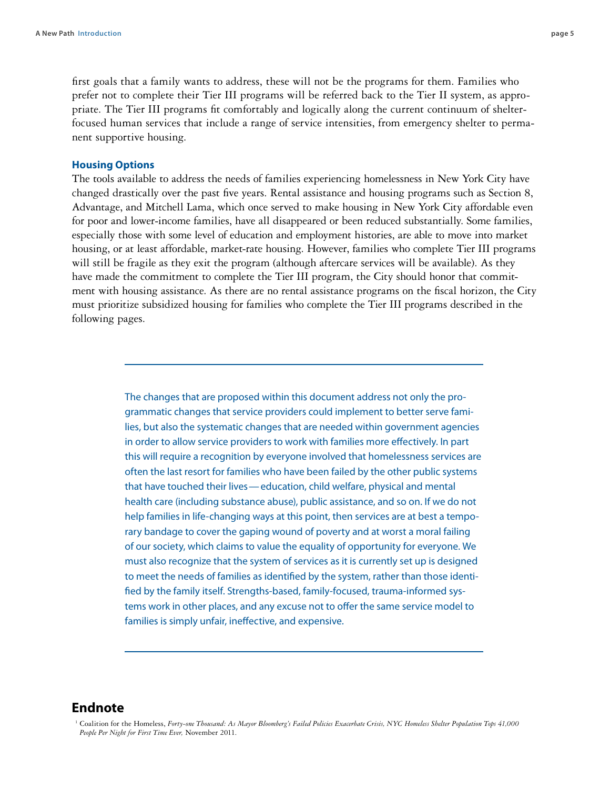first goals that a family wants to address, these will not be the programs for them. Families who prefer not to complete their Tier III programs will be referred back to the Tier II system, as appropriate. The Tier III programs fit comfortably and logically along the current continuum of shelterfocused human services that include a range of service intensities, from emergency shelter to permanent supportive housing.

#### **Housing Options**

The tools available to address the needs of families experiencing homelessness in New York City have changed drastically over the past five years. Rental assistance and housing programs such as Section 8, Advantage, and Mitchell Lama, which once served to make housing in New York City affordable even for poor and lower-income families, have all disappeared or been reduced substantially. Some families, especially those with some level of education and employment histories, are able to move into market housing, or at least affordable, market-rate housing. However, families who complete Tier III programs will still be fragile as they exit the program (although aftercare services will be available). As they have made the commitment to complete the Tier III program, the City should honor that commitment with housing assistance. As there are no rental assistance programs on the fiscal horizon, the City must prioritize subsidized housing for families who complete the Tier III programs described in the following pages.

> The changes that are proposed within this document address not only the programmatic changes that service providers could implement to better serve families, but also the systematic changes that are needed within government agencies in order to allow service providers to work with families more effectively. In part this will require a recognition by everyone involved that homelessness services are often the last resort for families who have been failed by the other public systems that have touched their lives— education, child welfare, physical and mental health care (including substance abuse), public assistance, and so on. If we do not help families in life-changing ways at this point, then services are at best a temporary bandage to cover the gaping wound of poverty and at worst a moral failing of our society, which claims to value the equality of opportunity for everyone. We must also recognize that the system of services as it is currently set up is designed to meet the needs of families as identified by the system, rather than those identified by the family itself. Strengths-based, family-focused, trauma-informed systems work in other places, and any excuse not to offer the same service model to families is simply unfair, ineffective, and expensive.

### **Endnote**

<sup>1</sup> Coalition for the Homeless, *Forty-one Thousand: As Mayor Bloomberg's Failed Policies Exacerbate Crisis, NYC Homeless Shelter Population Tops 41,000 People Per Night for First Time Ever,* November 2011.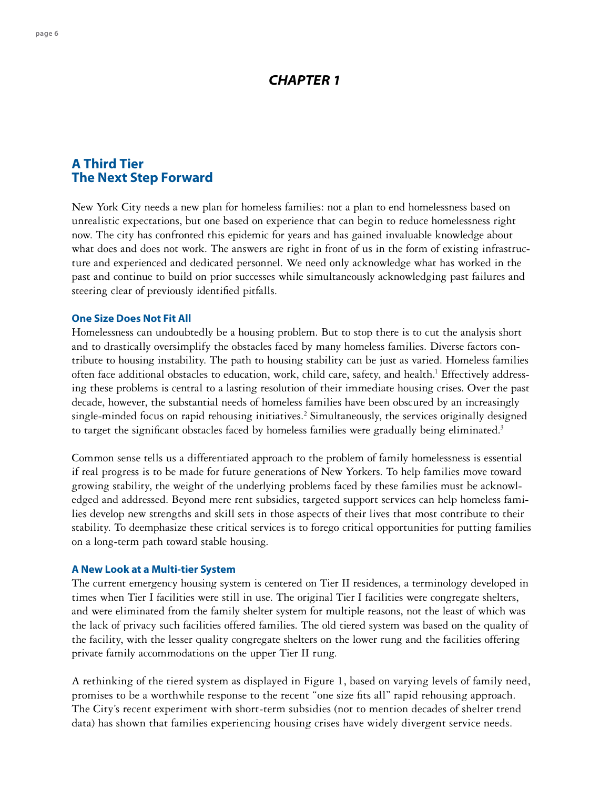## *CHAPTER 1*

## **A Third Tier The Next Step Forward**

New York City needs a new plan for homeless families: not a plan to end homelessness based on unrealistic expectations, but one based on experience that can begin to reduce homelessness right now. The city has confronted this epidemic for years and has gained invaluable knowledge about what does and does not work. The answers are right in front of us in the form of existing infrastructure and experienced and dedicated personnel. We need only acknowledge what has worked in the past and continue to build on prior successes while simultaneously acknowledging past failures and steering clear of previously identified pitfalls.

#### **One Size Does Not Fit All**

Homelessness can undoubtedly be a housing problem. But to stop there is to cut the analysis short and to drastically oversimplify the obstacles faced by many homeless families. Diverse factors contribute to housing instability. The path to housing stability can be just as varied. Homeless families often face additional obstacles to education, work, child care, safety, and health.<sup>1</sup> Effectively addressing these problems is central to a lasting resolution of their immediate housing crises. Over the past decade, however, the substantial needs of homeless families have been obscured by an increasingly single-minded focus on rapid rehousing initiatives.<sup>2</sup> Simultaneously, the services originally designed to target the significant obstacles faced by homeless families were gradually being eliminated.<sup>3</sup>

Common sense tells us a differentiated approach to the problem of family homelessness is essential if real progress is to be made for future generations of New Yorkers. To help families move toward growing stability, the weight of the underlying problems faced by these families must be acknowledged and addressed. Beyond mere rent subsidies, targeted support services can help homeless families develop new strengths and skill sets in those aspects of their lives that most contribute to their stability. To deemphasize these critical services is to forego critical opportunities for putting families on a long-term path toward stable housing.

#### **A New Look at a Multi-tier System**

The current emergency housing system is centered on Tier II residences, a terminology developed in times when Tier I facilities were still in use. The original Tier I facilities were congregate shelters, and were eliminated from the family shelter system for multiple reasons, not the least of which was the lack of privacy such facilities offered families. The old tiered system was based on the quality of the facility, with the lesser quality congregate shelters on the lower rung and the facilities offering private family accommodations on the upper Tier II rung.

A rethinking of the tiered system as displayed in Figure 1, based on varying levels of family need, promises to be a worthwhile response to the recent "one size fits all" rapid rehousing approach. The City's recent experiment with short-term subsidies (not to mention decades of shelter trend data) has shown that families experiencing housing crises have widely divergent service needs.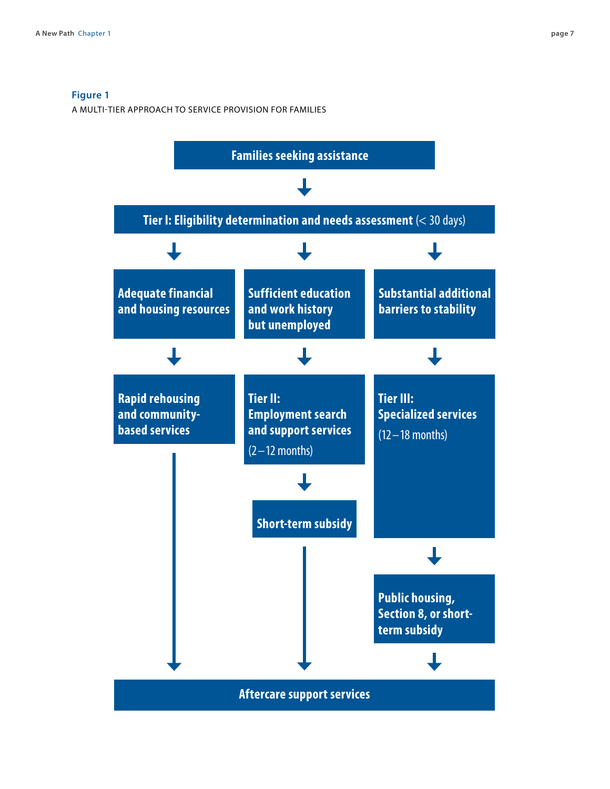#### **Figure 1**

A Multi-Tier Approach to service provision for families

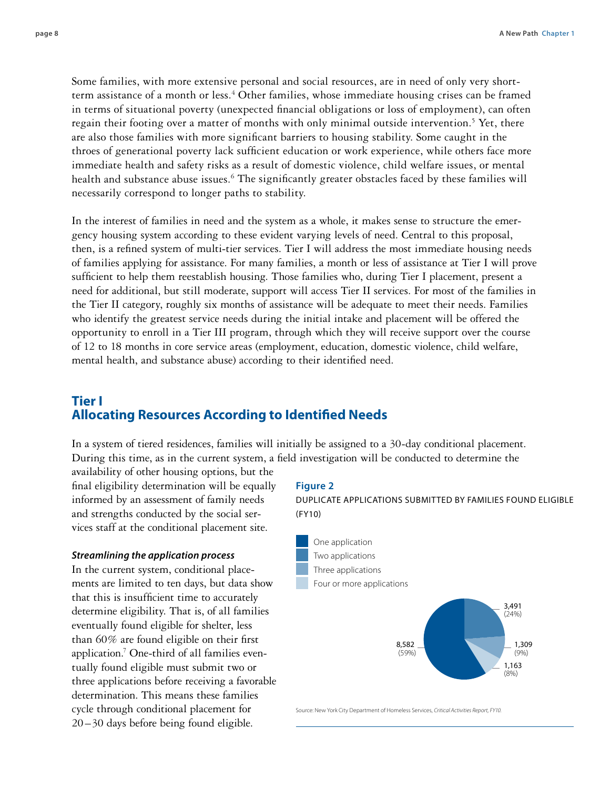Some families, with more extensive personal and social resources, are in need of only very shortterm assistance of a month or less.<sup>4</sup> Other families, whose immediate housing crises can be framed in terms of situational poverty (unexpected financial obligations or loss of employment), can often regain their footing over a matter of months with only minimal outside intervention.<sup>5</sup> Yet, there are also those families with more significant barriers to housing stability. Some caught in the throes of generational poverty lack sufficient education or work experience, while others face more immediate health and safety risks as a result of domestic violence, child welfare issues, or mental health and substance abuse issues.<sup>6</sup> The significantly greater obstacles faced by these families will necessarily correspond to longer paths to stability.

In the interest of families in need and the system as a whole, it makes sense to structure the emergency housing system according to these evident varying levels of need. Central to this proposal, then, is a refined system of multi-tier services. Tier I will address the most immediate housing needs of families applying for assistance. For many families, a month or less of assistance at Tier I will prove sufficient to help them reestablish housing. Those families who, during Tier I placement, present a need for additional, but still moderate, support will access Tier II services. For most of the families in the Tier II category, roughly six months of assistance will be adequate to meet their needs. Families who identify the greatest service needs during the initial intake and placement will be offered the opportunity to enroll in a Tier III program, through which they will receive support over the course of 12 to 18 months in core service areas (employment, education, domestic violence, child welfare, mental health, and substance abuse) according to their identified need.

## **Tier I Allocating Resources According to Identified Needs**

In a system of tiered residences, families will initially be assigned to a 30-day conditional placement. During this time, as in the current system, a field investigation will be conducted to determine the

availability of other housing options, but the final eligibility determination will be equally informed by an assessment of family needs and strengths conducted by the social services staff at the conditional placement site.

#### *Streamlining the application process*

In the current system, conditional placements are limited to ten days, but data show that this is insufficient time to accurately determine eligibility. That is, of all families eventually found eligible for shelter, less than 60% are found eligible on their first application.7 One-third of all families eventually found eligible must submit two or three applications before receiving a favorable determination. This means these families cycle through conditional placement for 20 –30 days before being found eligible.

#### **Figure 2**

Duplicate Applications Submitted by Families Found Eligible  $(FY10)$ 



Source: New York City Department of Homeless Services, *Critical Activities Report, FY10.*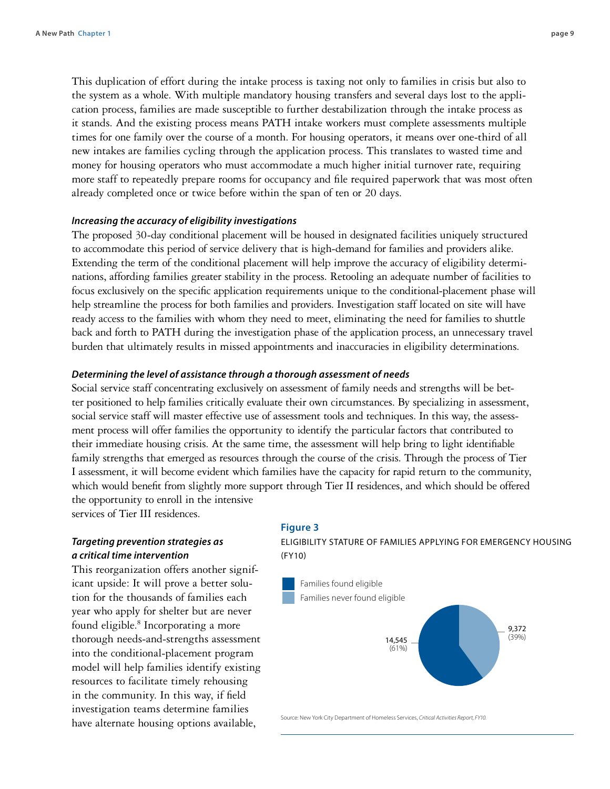This duplication of effort during the intake process is taxing not only to families in crisis but also to the system as a whole. With multiple mandatory housing transfers and several days lost to the application process, families are made susceptible to further destabilization through the intake process as it stands. And the existing process means PATH intake workers must complete assessments multiple times for one family over the course of a month. For housing operators, it means over one-third of all new intakes are families cycling through the application process. This translates to wasted time and money for housing operators who must accommodate a much higher initial turnover rate, requiring more staff to repeatedly prepare rooms for occupancy and file required paperwork that was most often already completed once or twice before within the span of ten or 20 days.

#### *Increasing the accuracy of eligibility investigations*

The proposed 30-day conditional placement will be housed in designated facilities uniquely structured to accommodate this period of service delivery that is high-demand for families and providers alike. Extending the term of the conditional placement will help improve the accuracy of eligibility determinations, affording families greater stability in the process. Retooling an adequate number of facilities to focus exclusively on the specific application requirements unique to the conditional-placement phase will help streamline the process for both families and providers. Investigation staff located on site will have ready access to the families with whom they need to meet, eliminating the need for families to shuttle back and forth to PATH during the investigation phase of the application process, an unnecessary travel burden that ultimately results in missed appointments and inaccuracies in eligibility determinations.

#### *Determining the level of assistance through a thorough assessment of needs*

Social service staff concentrating exclusively on assessment of family needs and strengths will be better positioned to help families critically evaluate their own circumstances. By specializing in assessment, social service staff will master effective use of assessment tools and techniques. In this way, the assessment process will offer families the opportunity to identify the particular factors that contributed to their immediate housing crisis. At the same time, the assessment will help bring to light identifiable family strengths that emerged as resources through the course of the crisis. Through the process of Tier I assessment, it will become evident which families have the capacity for rapid return to the community, which would benefit from slightly more support through Tier II residences, and which should be offered the opportunity to enroll in the intensive services of Tier III residences.

*Targeting prevention strategies as a critical time intervention*

This reorganization offers another significant upside: It will prove a better solution for the thousands of families each year who apply for shelter but are never found eligible.<sup>8</sup> Incorporating a more thorough needs-and-strengths assessment into the conditional-placement program model will help families identify existing resources to facilitate timely rehousing in the community. In this way, if field investigation teams determine families have alternate housing options available,

#### **Figure 3**

eligibility stature of families applying for emergency housing (FY10)



Source: New York City Department of Homeless Services, *Critical Activities Report, FY10.*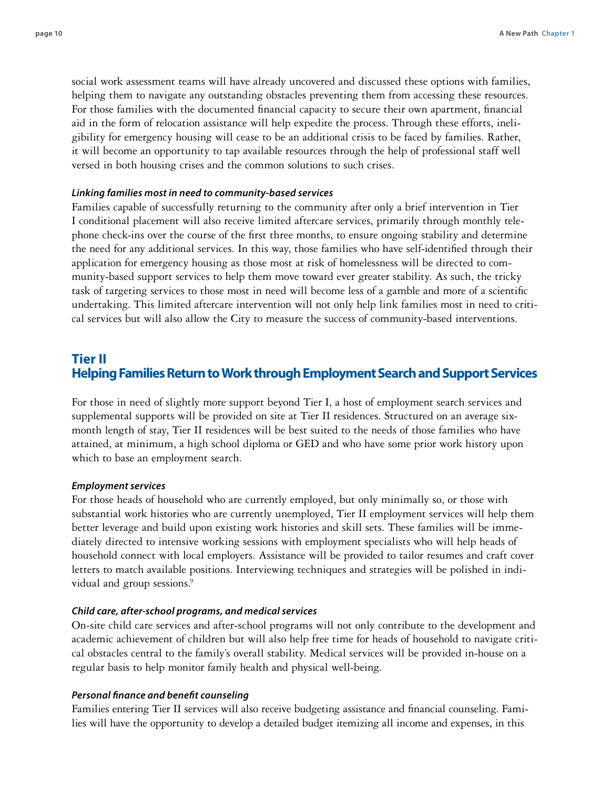social work assessment teams will have already uncovered and discussed these options with families, helping them to navigate any outstanding obstacles preventing them from accessing these resources. For those families with the documented financial capacity to secure their own apartment, financial aid in the form of relocation assistance will help expedite the process. Through these efforts, ineligibility for emergency housing will cease to be an additional crisis to be faced by families. Rather, it will become an opportunity to tap available resources through the help of professional staff well versed in both housing crises and the common solutions to such crises.

#### *Linking families most in need to community-based services*

Families capable of successfully returning to the community after only a brief intervention in Tier I conditional placement will also receive limited aftercare services, primarily through monthly telephone check-ins over the course of the first three months, to ensure ongoing stability and determine the need for any additional services. In this way, those families who have self-identified through their application for emergency housing as those most at risk of homelessness will be directed to community-based support services to help them move toward ever greater stability. As such, the tricky task of targeting services to those most in need will become less of a gamble and more of a scientific undertaking. This limited aftercare intervention will not only help link families most in need to critical services but will also allow the City to measure the success of community-based interventions.

## **Tier II Helping Families Return to Work through Employment Search and Support Services**

For those in need of slightly more support beyond Tier I, a host of employment search services and supplemental supports will be provided on site at Tier II residences. Structured on an average sixmonth length of stay, Tier II residences will be best suited to the needs of those families who have attained, at minimum, a high school diploma or GED and who have some prior work history upon which to base an employment search.

#### *Employment services*

For those heads of household who are currently employed, but only minimally so, or those with substantial work histories who are currently unemployed, Tier II employment services will help them better leverage and build upon existing work histories and skill sets. These families will be immediately directed to intensive working sessions with employment specialists who will help heads of household connect with local employers. Assistance will be provided to tailor resumes and craft cover letters to match available positions. Interviewing techniques and strategies will be polished in individual and group sessions.<sup>9</sup>

#### *Child care, after-school programs, and medical services*

On-site child care services and after-school programs will not only contribute to the development and academic achievement of children but will also help free time for heads of household to navigate critical obstacles central to the family's overall stability. Medical services will be provided in-house on a regular basis to help monitor family health and physical well-being.

#### *Personal finance and benefit counseling*

Families entering Tier II services will also receive budgeting assistance and financial counseling. Families will have the opportunity to develop a detailed budget itemizing all income and expenses, in this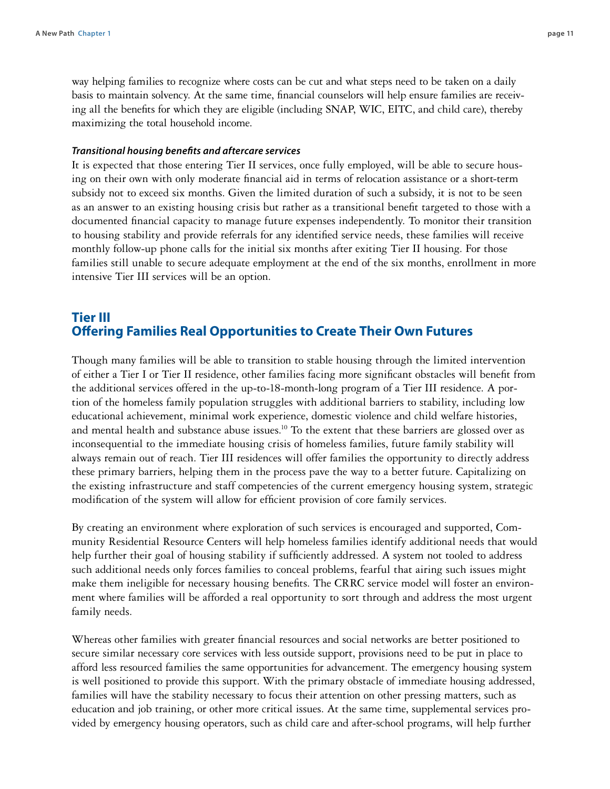way helping families to recognize where costs can be cut and what steps need to be taken on a daily basis to maintain solvency. At the same time, financial counselors will help ensure families are receiving all the benefits for which they are eligible (including SNAP, WIC, EITC, and child care), thereby maximizing the total household income.

#### *Transitional housing benefits and aftercare services*

It is expected that those entering Tier II services, once fully employed, will be able to secure housing on their own with only moderate financial aid in terms of relocation assistance or a short-term subsidy not to exceed six months. Given the limited duration of such a subsidy, it is not to be seen as an answer to an existing housing crisis but rather as a transitional benefit targeted to those with a documented financial capacity to manage future expenses independently. To monitor their transition to housing stability and provide referrals for any identified service needs, these families will receive monthly follow-up phone calls for the initial six months after exiting Tier II housing. For those families still unable to secure adequate employment at the end of the six months, enrollment in more intensive Tier III services will be an option.

## **Tier III Offering Families Real Opportunities to Create Their Own Futures**

Though many families will be able to transition to stable housing through the limited intervention of either a Tier I or Tier II residence, other families facing more significant obstacles will benefit from the additional services offered in the up-to-18-month-long program of a Tier III residence. A portion of the homeless family population struggles with additional barriers to stability, including low educational achievement, minimal work experience, domestic violence and child welfare histories, and mental health and substance abuse issues.<sup>10</sup> To the extent that these barriers are glossed over as inconsequential to the immediate housing crisis of homeless families, future family stability will always remain out of reach. Tier III residences will offer families the opportunity to directly address these primary barriers, helping them in the process pave the way to a better future. Capitalizing on the existing infrastructure and staff competencies of the current emergency housing system, strategic modification of the system will allow for efficient provision of core family services.

By creating an environment where exploration of such services is encouraged and supported, Community Residential Resource Centers will help homeless families identify additional needs that would help further their goal of housing stability if sufficiently addressed. A system not tooled to address such additional needs only forces families to conceal problems, fearful that airing such issues might make them ineligible for necessary housing benefits. The CRRC service model will foster an environment where families will be afforded a real opportunity to sort through and address the most urgent family needs.

Whereas other families with greater financial resources and social networks are better positioned to secure similar necessary core services with less outside support, provisions need to be put in place to afford less resourced families the same opportunities for advancement. The emergency housing system is well positioned to provide this support. With the primary obstacle of immediate housing addressed, families will have the stability necessary to focus their attention on other pressing matters, such as education and job training, or other more critical issues. At the same time, supplemental services provided by emergency housing operators, such as child care and after-school programs, will help further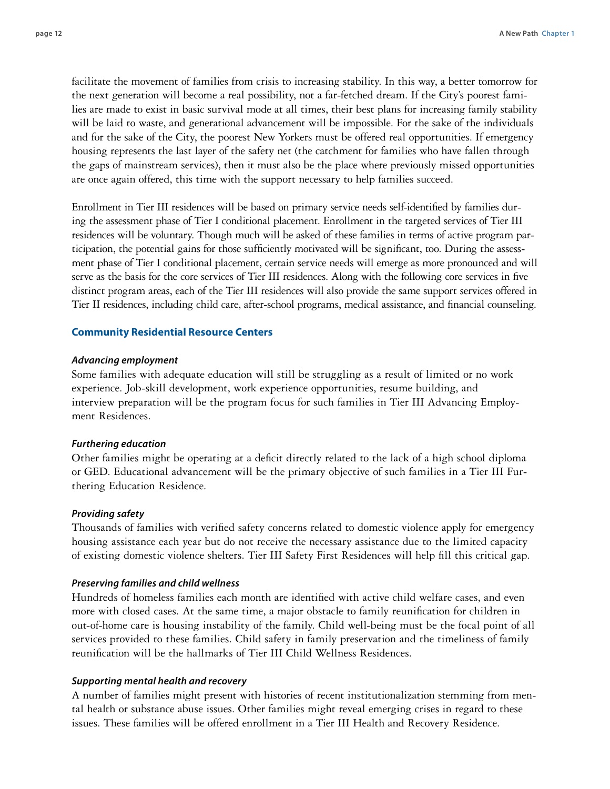facilitate the movement of families from crisis to increasing stability. In this way, a better tomorrow for the next generation will become a real possibility, not a far-fetched dream. If the City's poorest families are made to exist in basic survival mode at all times, their best plans for increasing family stability will be laid to waste, and generational advancement will be impossible. For the sake of the individuals and for the sake of the City, the poorest New Yorkers must be offered real opportunities. If emergency housing represents the last layer of the safety net (the catchment for families who have fallen through the gaps of mainstream services), then it must also be the place where previously missed opportunities are once again offered, this time with the support necessary to help families succeed.

Enrollment in Tier III residences will be based on primary service needs self-identified by families during the assessment phase of Tier I conditional placement. Enrollment in the targeted services of Tier III residences will be voluntary. Though much will be asked of these families in terms of active program participation, the potential gains for those sufficiently motivated will be significant, too. During the assessment phase of Tier I conditional placement, certain service needs will emerge as more pronounced and will serve as the basis for the core services of Tier III residences. Along with the following core services in five distinct program areas, each of the Tier III residences will also provide the same support services offered in Tier II residences, including child care, after-school programs, medical assistance, and financial counseling.

#### **Community Residential Resource Centers**

#### *Advancing employment*

Some families with adequate education will still be struggling as a result of limited or no work experience. Job-skill development, work experience opportunities, resume building, and interview preparation will be the program focus for such families in Tier III Advancing Employment Residences.

#### *Furthering education*

Other families might be operating at a deficit directly related to the lack of a high school diploma or GED. Educational advancement will be the primary objective of such families in a Tier III Furthering Education Residence.

#### *Providing safety*

Thousands of families with verified safety concerns related to domestic violence apply for emergency housing assistance each year but do not receive the necessary assistance due to the limited capacity of existing domestic violence shelters. Tier III Safety First Residences will help fill this critical gap.

#### *Preserving families and child wellness*

Hundreds of homeless families each month are identified with active child welfare cases, and even more with closed cases. At the same time, a major obstacle to family reunification for children in out-of-home care is housing instability of the family. Child well-being must be the focal point of all services provided to these families. Child safety in family preservation and the timeliness of family reunification will be the hallmarks of Tier III Child Wellness Residences.

#### *Supporting mental health and recovery*

A number of families might present with histories of recent institutionalization stemming from mental health or substance abuse issues. Other families might reveal emerging crises in regard to these issues. These families will be offered enrollment in a Tier III Health and Recovery Residence.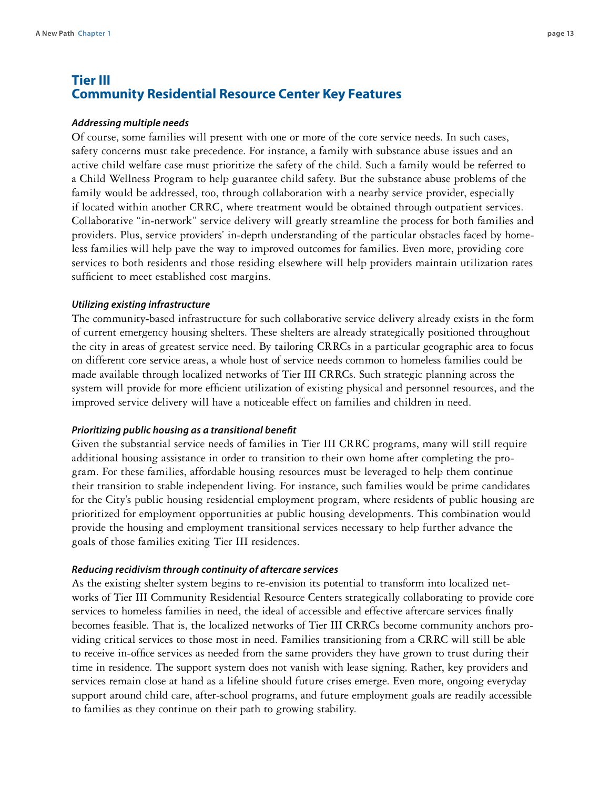## **Tier III Community Residential Resource Center Key Features**

#### *Addressing multiple needs*

Of course, some families will present with one or more of the core service needs. In such cases, safety concerns must take precedence. For instance, a family with substance abuse issues and an active child welfare case must prioritize the safety of the child. Such a family would be referred to a Child Wellness Program to help guarantee child safety. But the substance abuse problems of the family would be addressed, too, through collaboration with a nearby service provider, especially if located within another CRRC, where treatment would be obtained through outpatient services. Collaborative "in-network" service delivery will greatly streamline the process for both families and providers. Plus, service providers' in-depth understanding of the particular obstacles faced by homeless families will help pave the way to improved outcomes for families. Even more, providing core services to both residents and those residing elsewhere will help providers maintain utilization rates sufficient to meet established cost margins.

#### *Utilizing existing infrastructure*

The community-based infrastructure for such collaborative service delivery already exists in the form of current emergency housing shelters. These shelters are already strategically positioned throughout the city in areas of greatest service need. By tailoring CRRCs in a particular geographic area to focus on different core service areas, a whole host of service needs common to homeless families could be made available through localized networks of Tier III CRRCs. Such strategic planning across the system will provide for more efficient utilization of existing physical and personnel resources, and the improved service delivery will have a noticeable effect on families and children in need.

#### *Prioritizing public housing as a transitional benefit*

Given the substantial service needs of families in Tier III CRRC programs, many will still require additional housing assistance in order to transition to their own home after completing the program. For these families, affordable housing resources must be leveraged to help them continue their transition to stable independent living. For instance, such families would be prime candidates for the City's public housing residential employment program, where residents of public housing are prioritized for employment opportunities at public housing developments. This combination would provide the housing and employment transitional services necessary to help further advance the goals of those families exiting Tier III residences.

#### *Reducing recidivism through continuity of aftercare services*

As the existing shelter system begins to re-envision its potential to transform into localized networks of Tier III Community Residential Resource Centers strategically collaborating to provide core services to homeless families in need, the ideal of accessible and effective aftercare services finally becomes feasible. That is, the localized networks of Tier III CRRCs become community anchors providing critical services to those most in need. Families transitioning from a CRRC will still be able to receive in-office services as needed from the same providers they have grown to trust during their time in residence. The support system does not vanish with lease signing. Rather, key providers and services remain close at hand as a lifeline should future crises emerge. Even more, ongoing everyday support around child care, after-school programs, and future employment goals are readily accessible to families as they continue on their path to growing stability.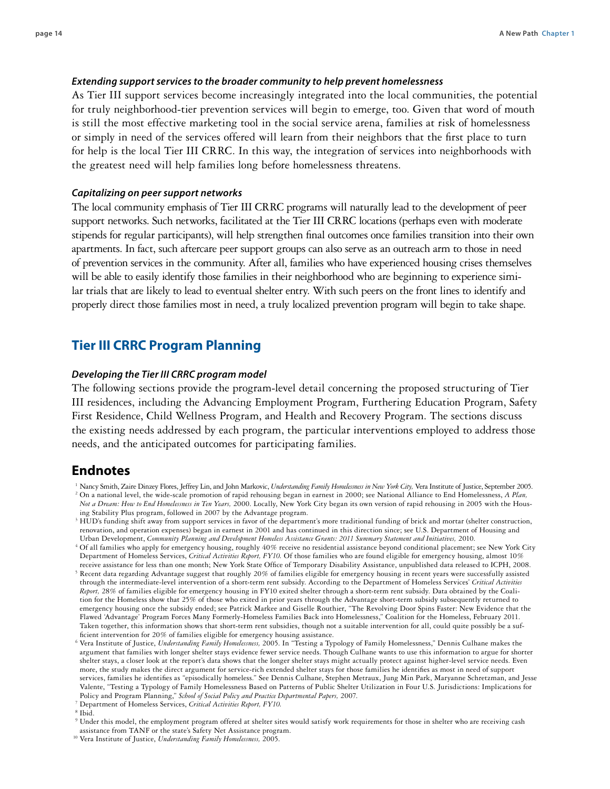#### *Extending support services to the broader community to help prevent homelessness*

As Tier III support services become increasingly integrated into the local communities, the potential for truly neighborhood-tier prevention services will begin to emerge, too. Given that word of mouth is still the most effective marketing tool in the social service arena, families at risk of homelessness or simply in need of the services offered will learn from their neighbors that the first place to turn for help is the local Tier III CRRC. In this way, the integration of services into neighborhoods with the greatest need will help families long before homelessness threatens.

#### *Capitalizing on peer support networks*

The local community emphasis of Tier III CRRC programs will naturally lead to the development of peer support networks. Such networks, facilitated at the Tier III CRRC locations (perhaps even with moderate stipends for regular participants), will help strengthen final outcomes once families transition into their own apartments. In fact, such aftercare peer support groups can also serve as an outreach arm to those in need of prevention services in the community. After all, families who have experienced housing crises themselves will be able to easily identify those families in their neighborhood who are beginning to experience similar trials that are likely to lead to eventual shelter entry. With such peers on the front lines to identify and properly direct those families most in need, a truly localized prevention program will begin to take shape.

#### **Tier III CRRC Program Planning**

#### *Developing the Tier III CRRC program model*

The following sections provide the program-level detail concerning the proposed structuring of Tier III residences, including the Advancing Employment Program, Furthering Education Program, Safety First Residence, Child Wellness Program, and Health and Recovery Program. The sections discuss the existing needs addressed by each program, the particular interventions employed to address those needs, and the anticipated outcomes for participating families.

#### **Endnotes**

- <sup>1</sup> Nancy Smith, Zaire Dinzey Flores, Jeffrey Lin, and John Markovic, *Understanding Family Homelessness in New York City*, Vera Institute of Justice, September 2005. <sup>2</sup> On a national level, the wide-scale promotion of rapid rehousing began in earnest in 2000; see National Alliance to End Homelessness, *A Plan, Not a Dream: How to End Homelessness in Ten Years,* 2000. Locally, New York City began its own version of rapid rehousing in 2005 with the Housing Stability Plus program, followed in 2007 by the Advantage program.
- <sup>3</sup> HUD's funding shift away from support services in favor of the department's more traditional funding of brick and mortar (shelter construction, renovation, and operation expenses) began in earnest in 2001 and has continued in this direction since; see U.S. Department of Housing and Urban Development, *Community Planning and Development Homeless Assistance Grants: 2011 Summary Statement and Initiatives,* 2010.
- <sup>4</sup> Of all families who apply for emergency housing, roughly 40% receive no residential assistance beyond conditional placement; see New York City Department of Homeless Services, *Critical Activities Report, FY10.* Of those families who are found eligible for emergency housing, almost 10% receive assistance for less than one month; New York State Office of Temporary Disability Assistance, unpublished data released to ICPH, 2008.
- <sup>5</sup> Recent data regarding Advantage suggest that roughly 20% of families eligible for emergency housing in recent years were successfully assisted through the intermediate-level intervention of a short-term rent subsidy. According to the Department of Homeless Services' *Critical Activities Report,* 28% of families eligible for emergency housing in FY10 exited shelter through a short-term rent subsidy. Data obtained by the Coalition for the Homeless show that 25% of those who exited in prior years through the Advantage short-term subsidy subsequently returned to emergency housing once the subsidy ended; see Patrick Markee and Giselle Routhier, "The Revolving Door Spins Faster: New Evidence that the Flawed 'Advantage' Program Forces Many Formerly-Homeless Families Back into Homelessness," Coalition for the Homeless, February 2011. Taken together, this information shows that short-term rent subsidies, though not a suitable intervention for all, could quite possibly be a sufficient intervention for 20% of families eligible for emergency housing assistance.

 $^8$  Ibid.  $\,$ 

- <sup>9</sup> Under this model, the employment program offered at shelter sites would satisfy work requirements for those in shelter who are receiving cash assistance from TANF or the state's Safety Net Assistance program.
- <sup>10</sup> Vera Institute of Justice, *Understanding Family Homelessness,* 2005.

<sup>6</sup> Vera Institute of Justice, *Understanding Family Homelessness,* 2005. In "Testing a Typology of Family Homelessness," Dennis Culhane makes the argument that families with longer shelter stays evidence fewer service needs. Though Culhane wants to use this information to argue for shorter shelter stays, a closer look at the report's data shows that the longer shelter stays might actually protect against higher-level service needs. Even more, the study makes the direct argument for service-rich extended shelter stays for those families he identifies as most in need of support services, families he identifies as "episodically homeless." See Dennis Culhane, Stephen Metraux, Jung Min Park, Maryanne Schretzman, and Jesse Valente, "Testing a Typology of Family Homelessness Based on Patterns of Public Shelter Utilization in Four U.S. Jurisdictions: Implications for Policy and Program Planning," *School of Social Policy and Practice Departmental Papers,* 2007.

<sup>7</sup> Department of Homeless Services, *Critical Activities Report, FY10.*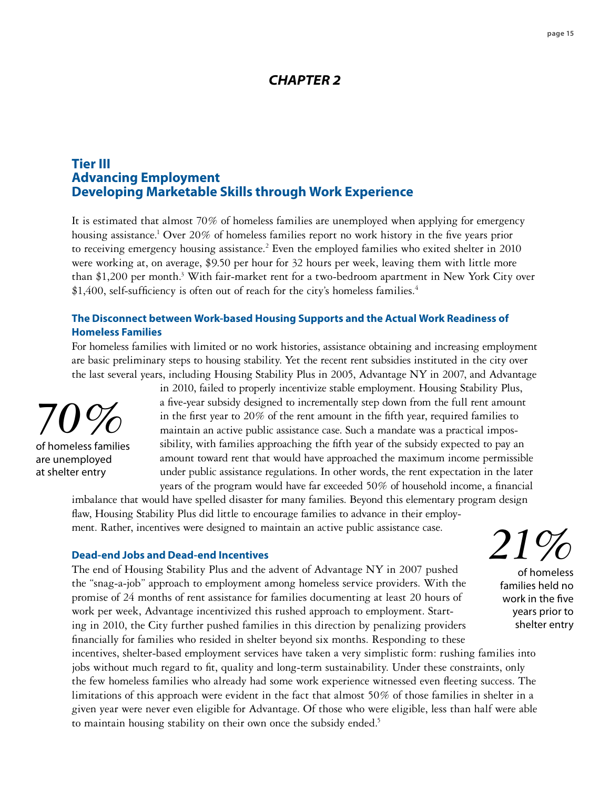## *CHAPTER 2*

## **Tier III Advancing Employment Developing Marketable Skills through Work Experience**

It is estimated that almost 70% of homeless families are unemployed when applying for emergency housing assistance.<sup>1</sup> Over 20% of homeless families report no work history in the five years prior to receiving emergency housing assistance.<sup>2</sup> Even the employed families who exited shelter in 2010 were working at, on average, \$9.50 per hour for 32 hours per week, leaving them with little more than \$1,200 per month.<sup>3</sup> With fair-market rent for a two-bedroom apartment in New York City over \$1,400, self-sufficiency is often out of reach for the city's homeless families.<sup>4</sup>

## **The Disconnect between Work-based Housing Supports and the Actual Work Readiness of Homeless Families**

For homeless families with limited or no work histories, assistance obtaining and increasing employment are basic preliminary steps to housing stability. Yet the recent rent subsidies instituted in the city over the last several years, including Housing Stability Plus in 2005, Advantage NY in 2007, and Advantage



of homeless families are unemployed at shelter entry

in 2010, failed to properly incentivize stable employment. Housing Stability Plus, a five-year subsidy designed to incrementally step down from the full rent amount in the first year to 20% of the rent amount in the fifth year, required families to maintain an active public assistance case. Such a mandate was a practical impossibility, with families approaching the fifth year of the subsidy expected to pay an amount toward rent that would have approached the maximum income permissible under public assistance regulations. In other words, the rent expectation in the later years of the program would have far exceeded 50% of household income, a financial

imbalance that would have spelled disaster for many families. Beyond this elementary program design flaw, Housing Stability Plus did little to encourage families to advance in their employment. Rather, incentives were designed to maintain an active public assistance case.

#### **Dead-end Jobs and Dead-end Incentives**

The end of Housing Stability Plus and the advent of Advantage NY in 2007 pushed the "snag-a-job" approach to employment among homeless service providers. With the promise of 24 months of rent assistance for families documenting at least 20 hours of work per week, Advantage incentivized this rushed approach to employment. Starting in 2010, the City further pushed families in this direction by penalizing providers financially for families who resided in shelter beyond six months. Responding to these

shelter entry incentives, shelter-based employment services have taken a very simplistic form: rushing families into jobs without much regard to fit, quality and long-term sustainability. Under these constraints, only the few homeless families who already had some work experience witnessed even fleeting success. The limitations of this approach were evident in the fact that almost 50% of those families in shelter in a given year were never even eligible for Advantage. Of those who were eligible, less than half were able to maintain housing stability on their own once the subsidy ended.<sup>5</sup>

*21%*  of homeless

> families held no work in the five years prior to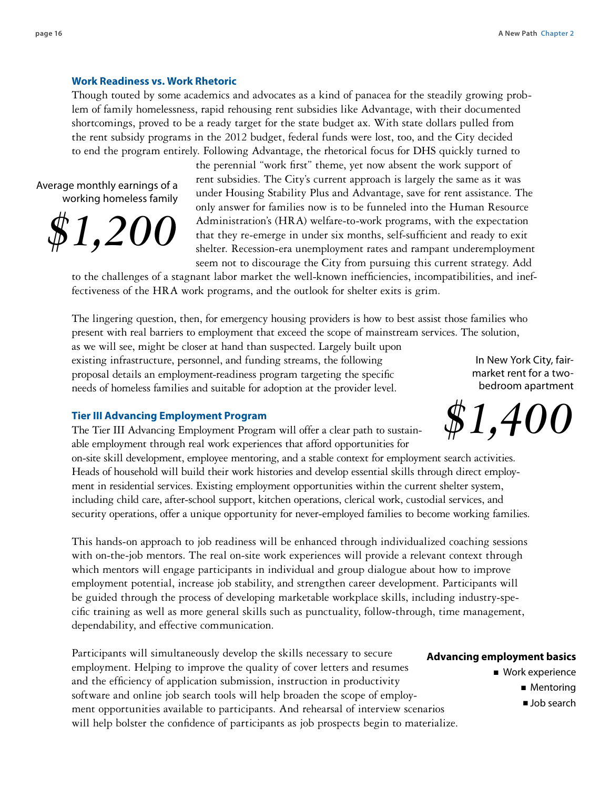#### **Work Readiness vs. Work Rhetoric**

Though touted by some academics and advocates as a kind of panacea for the steadily growing problem of family homelessness, rapid rehousing rent subsidies like Advantage, with their documented shortcomings, proved to be a ready target for the state budget ax. With state dollars pulled from the rent subsidy programs in the 2012 budget, federal funds were lost, too, and the City decided to end the program entirely. Following Advantage, the rhetorical focus for DHS quickly turned to

Average monthly earnings of a working homeless family



the perennial "work first" theme, yet now absent the work support of rent subsidies. The City's current approach is largely the same as it was under Housing Stability Plus and Advantage, save for rent assistance. The only answer for families now is to be funneled into the Human Resource Administration's (HRA) welfare-to-work programs, with the expectation that they re-emerge in under six months, self-sufficient and ready to exit shelter. Recession-era unemployment rates and rampant underemployment seem not to discourage the City from pursuing this current strategy. Add

to the challenges of a stagnant labor market the well-known inefficiencies, incompatibilities, and ineffectiveness of the HRA work programs, and the outlook for shelter exits is grim.

The lingering question, then, for emergency housing providers is how to best assist those families who present with real barriers to employment that exceed the scope of mainstream services. The solution,

as we will see, might be closer at hand than suspected. Largely built upon existing infrastructure, personnel, and funding streams, the following proposal details an employment-readiness program targeting the specific needs of homeless families and suitable for adoption at the provider level.

In New York City, fairmarket rent for a twobedroom apartment

#### **Tier III Advancing Employment Program**

The Tier III Advancing Employment Program will offer a clear path to sustainable employment through real work experiences that afford opportunities for

on-site skill development, employee mentoring, and a stable context for employment search activities. Heads of household will build their work histories and develop essential skills through direct employment in residential services. Existing employment opportunities within the current shelter system, including child care, after-school support, kitchen operations, clerical work, custodial services, and security operations, offer a unique opportunity for never-employed families to become working families.

This hands-on approach to job readiness will be enhanced through individualized coaching sessions with on-the-job mentors. The real on-site work experiences will provide a relevant context through which mentors will engage participants in individual and group dialogue about how to improve employment potential, increase job stability, and strengthen career development. Participants will be guided through the process of developing marketable workplace skills, including industry-specific training as well as more general skills such as punctuality, follow-through, time management, dependability, and effective communication.

Participants will simultaneously develop the skills necessary to secure employment. Helping to improve the quality of cover letters and resumes and the efficiency of application submission, instruction in productivity software and online job search tools will help broaden the scope of employment opportunities available to participants. And rehearsal of interview scenarios will help bolster the confidence of participants as job prospects begin to materialize.

#### **Advancing employment basics**

■ Work experience

- Mentoring
- Job search

*\$1,400*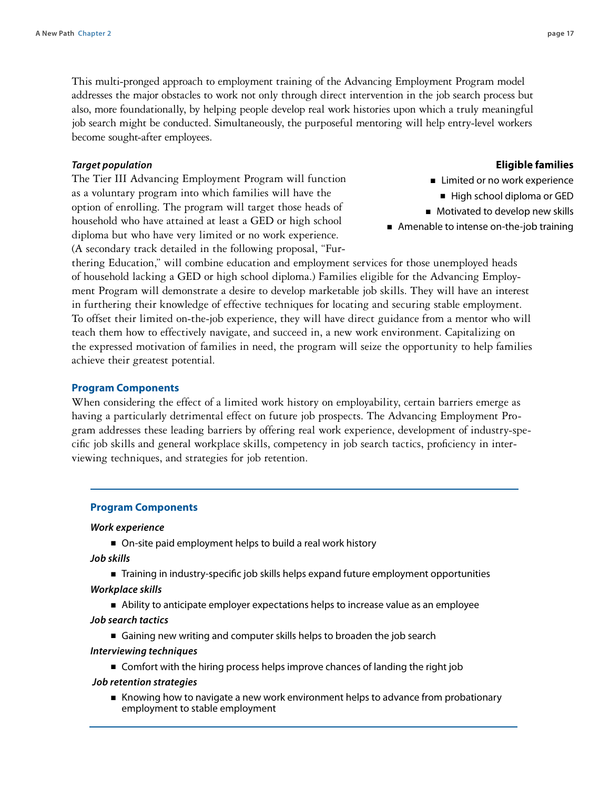This multi-pronged approach to employment training of the Advancing Employment Program model addresses the major obstacles to work not only through direct intervention in the job search process but also, more foundationally, by helping people develop real work histories upon which a truly meaningful job search might be conducted. Simultaneously, the purposeful mentoring will help entry-level workers become sought-after employees.

#### *Target population*

The Tier III Advancing Employment Program will function as a voluntary program into which families will have the option of enrolling. The program will target those heads of household who have attained at least a GED or high school diploma but who have very limited or no work experience. (A secondary track detailed in the following proposal, "Fur**Eligible families**

- Limited or no work experience
- High school diploma or GED
- Motivated to develop new skills
- Amenable to intense on-the-job training

thering Education," will combine education and employment services for those unemployed heads of household lacking a GED or high school diploma.) Families eligible for the Advancing Employment Program will demonstrate a desire to develop marketable job skills. They will have an interest in furthering their knowledge of effective techniques for locating and securing stable employment. To offset their limited on-the-job experience, they will have direct guidance from a mentor who will teach them how to effectively navigate, and succeed in, a new work environment. Capitalizing on the expressed motivation of families in need, the program will seize the opportunity to help families achieve their greatest potential.

#### **Program Components**

When considering the effect of a limited work history on employability, certain barriers emerge as having a particularly detrimental effect on future job prospects. The Advancing Employment Program addresses these leading barriers by offering real work experience, development of industry-specific job skills and general workplace skills, competency in job search tactics, proficiency in interviewing techniques, and strategies for job retention.

#### **Program Components**

#### *Work experience*

■ On-site paid employment helps to build a real work history

*Job skills* 

- Training in industry-specific job skills helps expand future employment opportunities
- *Workplace skills* 
	- Ability to anticipate employer expectations helps to increase value as an employee

#### *Job search tactics*

■ Gaining new writing and computer skills helps to broaden the job search

#### *Interviewing techniques*

■ Comfort with the hiring process helps improve chances of landing the right job

#### *Job retention strategies*

■ Knowing how to navigate a new work environment helps to advance from probationary employment to stable employment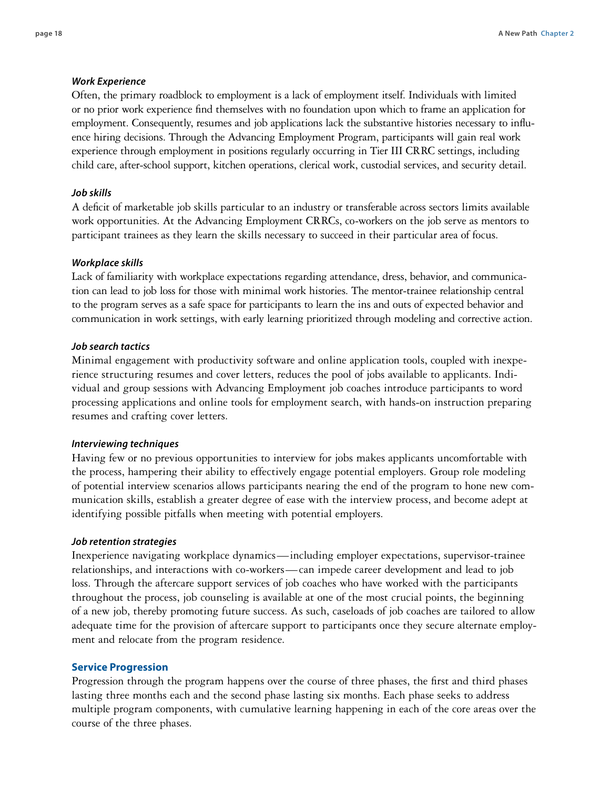#### *Work Experience*

Often, the primary roadblock to employment is a lack of employment itself. Individuals with limited or no prior work experience find themselves with no foundation upon which to frame an application for employment. Consequently, resumes and job applications lack the substantive histories necessary to influence hiring decisions. Through the Advancing Employment Program, participants will gain real work experience through employment in positions regularly occurring in Tier III CRRC settings, including child care, after-school support, kitchen operations, clerical work, custodial services, and security detail.

#### *Job skills*

A deficit of marketable job skills particular to an industry or transferable across sectors limits available work opportunities. At the Advancing Employment CRRCs, co-workers on the job serve as mentors to participant trainees as they learn the skills necessary to succeed in their particular area of focus.

#### *Workplace skills*

Lack of familiarity with workplace expectations regarding attendance, dress, behavior, and communication can lead to job loss for those with minimal work histories. The mentor-trainee relationship central to the program serves as a safe space for participants to learn the ins and outs of expected behavior and communication in work settings, with early learning prioritized through modeling and corrective action.

#### *Job search tactics*

Minimal engagement with productivity software and online application tools, coupled with inexperience structuring resumes and cover letters, reduces the pool of jobs available to applicants. Individual and group sessions with Advancing Employment job coaches introduce participants to word processing applications and online tools for employment search, with hands-on instruction preparing resumes and crafting cover letters.

#### *Interviewing techniques*

Having few or no previous opportunities to interview for jobs makes applicants uncomfortable with the process, hampering their ability to effectively engage potential employers. Group role modeling of potential interview scenarios allows participants nearing the end of the program to hone new communication skills, establish a greater degree of ease with the interview process, and become adept at identifying possible pitfalls when meeting with potential employers.

#### *Job retention strategies*

Inexperience navigating workplace dynamics—including employer expectations, supervisor-trainee relationships, and interactions with co-workers—can impede career development and lead to job loss. Through the aftercare support services of job coaches who have worked with the participants throughout the process, job counseling is available at one of the most crucial points, the beginning of a new job, thereby promoting future success. As such, caseloads of job coaches are tailored to allow adequate time for the provision of aftercare support to participants once they secure alternate employment and relocate from the program residence.

#### **Service Progression**

Progression through the program happens over the course of three phases, the first and third phases lasting three months each and the second phase lasting six months. Each phase seeks to address multiple program components, with cumulative learning happening in each of the core areas over the course of the three phases.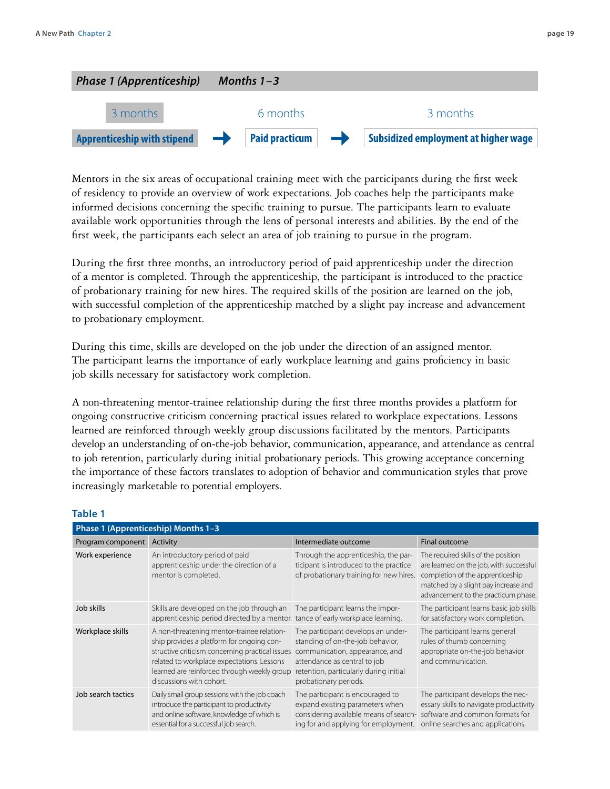

Mentors in the six areas of occupational training meet with the participants during the first week of residency to provide an overview of work expectations. Job coaches help the participants make informed decisions concerning the specific training to pursue. The participants learn to evaluate available work opportunities through the lens of personal interests and abilities. By the end of the first week, the participants each select an area of job training to pursue in the program.

During the first three months, an introductory period of paid apprenticeship under the direction of a mentor is completed. Through the apprenticeship, the participant is introduced to the practice of probationary training for new hires. The required skills of the position are learned on the job, with successful completion of the apprenticeship matched by a slight pay increase and advancement to probationary employment.

During this time, skills are developed on the job under the direction of an assigned mentor. The participant learns the importance of early workplace learning and gains proficiency in basic job skills necessary for satisfactory work completion.

A non-threatening mentor-trainee relationship during the first three months provides a platform for ongoing constructive criticism concerning practical issues related to workplace expectations. Lessons learned are reinforced through weekly group discussions facilitated by the mentors. Participants develop an understanding of on-the-job behavior, communication, appearance, and attendance as central to job retention, particularly during initial probationary periods. This growing acceptance concerning the importance of these factors translates to adoption of behavior and communication styles that prove increasingly marketable to potential employers.

#### **Table 1**

| Phase 1 (Apprenticeship) Months 1-3 |                                                                                                                                                                                                                                                                     |                                                                                                                                                                                                             |                                                                                                                                                                                                   |
|-------------------------------------|---------------------------------------------------------------------------------------------------------------------------------------------------------------------------------------------------------------------------------------------------------------------|-------------------------------------------------------------------------------------------------------------------------------------------------------------------------------------------------------------|---------------------------------------------------------------------------------------------------------------------------------------------------------------------------------------------------|
| Program component                   | Activity                                                                                                                                                                                                                                                            | Intermediate outcome                                                                                                                                                                                        | Final outcome                                                                                                                                                                                     |
| Work experience                     | An introductory period of paid<br>apprenticeship under the direction of a<br>mentor is completed.                                                                                                                                                                   | Through the apprenticeship, the par-<br>ticipant is introduced to the practice<br>of probationary training for new hires.                                                                                   | The required skills of the position<br>are learned on the job, with successful<br>completion of the apprenticeship<br>matched by a slight pay increase and<br>advancement to the practicum phase. |
| Job skills                          | Skills are developed on the job through an<br>apprenticeship period directed by a mentor.                                                                                                                                                                           | The participant learns the impor-<br>tance of early workplace learning.                                                                                                                                     | The participant learns basic job skills<br>for satisfactory work completion.                                                                                                                      |
| Workplace skills                    | A non-threatening mentor-trainee relation-<br>ship provides a platform for ongoing con-<br>structive criticism concerning practical issues<br>related to workplace expectations. Lessons<br>learned are reinforced through weekly group<br>discussions with cohort. | The participant develops an under-<br>standing of on-the-job behavior,<br>communication, appearance, and<br>attendance as central to job<br>retention, particularly during initial<br>probationary periods. | The participant learns general<br>rules of thumb concerning<br>appropriate on-the-job behavior<br>and communication.                                                                              |
| Job search tactics                  | Daily small group sessions with the job coach<br>introduce the participant to productivity<br>and online software, knowledge of which is<br>essential for a successful job search.                                                                                  | The participant is encouraged to<br>expand existing parameters when<br>considering available means of search-<br>ing for and applying for employment.                                                       | The participant develops the nec-<br>essary skills to navigate productivity<br>software and common formats for<br>online searches and applications.                                               |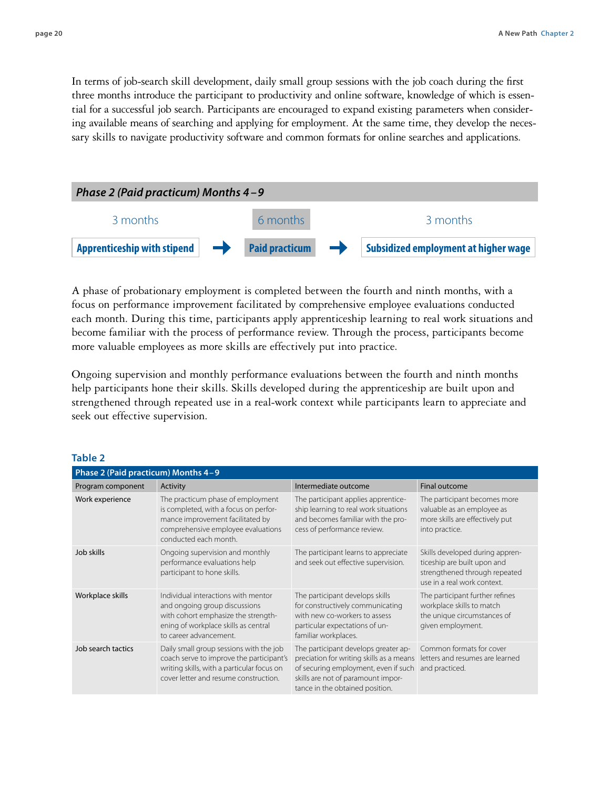In terms of job-search skill development, daily small group sessions with the job coach during the first three months introduce the participant to productivity and online software, knowledge of which is essential for a successful job search. Participants are encouraged to expand existing parameters when considering available means of searching and applying for employment. At the same time, they develop the necessary skills to navigate productivity software and common formats for online searches and applications.



A phase of probationary employment is completed between the fourth and ninth months, with a focus on performance improvement facilitated by comprehensive employee evaluations conducted each month. During this time, participants apply apprenticeship learning to real work situations and become familiar with the process of performance review. Through the process, participants become more valuable employees as more skills are effectively put into practice.

Ongoing supervision and monthly performance evaluations between the fourth and ninth months help participants hone their skills. Skills developed during the apprenticeship are built upon and strengthened through repeated use in a real-work context while participants learn to appreciate and seek out effective supervision.

| Table 2                             |                                                                                                                                                                               |                                                                                                                                                                                                   |                                                                                                                                |
|-------------------------------------|-------------------------------------------------------------------------------------------------------------------------------------------------------------------------------|---------------------------------------------------------------------------------------------------------------------------------------------------------------------------------------------------|--------------------------------------------------------------------------------------------------------------------------------|
| Phase 2 (Paid practicum) Months 4-9 |                                                                                                                                                                               |                                                                                                                                                                                                   |                                                                                                                                |
| Program component                   | Activity                                                                                                                                                                      | Intermediate outcome                                                                                                                                                                              | Final outcome                                                                                                                  |
| Work experience                     | The practicum phase of employment<br>is completed, with a focus on perfor-<br>mance improvement facilitated by<br>comprehensive employee evaluations<br>conducted each month. | The participant applies apprentice-<br>ship learning to real work situations<br>and becomes familiar with the pro-<br>cess of performance review.                                                 | The participant becomes more<br>valuable as an employee as<br>more skills are effectively put<br>into practice.                |
| Job skills                          | Ongoing supervision and monthly<br>performance evaluations help<br>participant to hone skills.                                                                                | The participant learns to appreciate<br>and seek out effective supervision.                                                                                                                       | Skills developed during appren-<br>ticeship are built upon and<br>strengthened through repeated<br>use in a real work context. |
| Workplace skills                    | Individual interactions with mentor<br>and ongoing group discussions<br>with cohort emphasize the strength-<br>ening of workplace skills as central<br>to career advancement. | The participant develops skills<br>for constructively communicating<br>with new co-workers to assess<br>particular expectations of un-<br>familiar workplaces.                                    | The participant further refines<br>workplace skills to match<br>the unique circumstances of<br>given employment.               |
| Job search tactics                  | Daily small group sessions with the job<br>coach serve to improve the participant's<br>writing skills, with a particular focus on<br>cover letter and resume construction.    | The participant develops greater ap-<br>preciation for writing skills as a means<br>of securing employment, even if such<br>skills are not of paramount impor-<br>tance in the obtained position. | Common formats for cover<br>letters and resumes are learned<br>and practiced.                                                  |

#### **Table 2**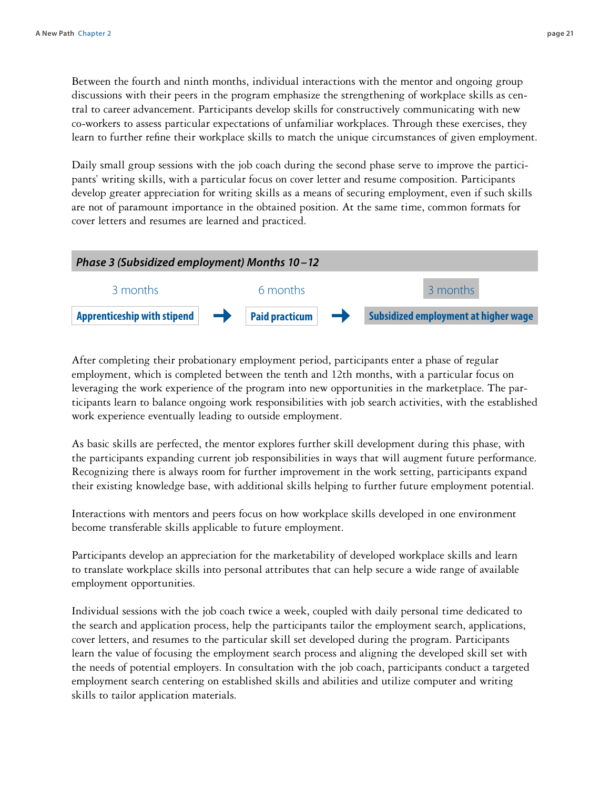Between the fourth and ninth months, individual interactions with the mentor and ongoing group discussions with their peers in the program emphasize the strengthening of workplace skills as central to career advancement. Participants develop skills for constructively communicating with new co-workers to assess particular expectations of unfamiliar workplaces. Through these exercises, they learn to further refine their workplace skills to match the unique circumstances of given employment.

Daily small group sessions with the job coach during the second phase serve to improve the participants' writing skills, with a particular focus on cover letter and resume composition. Participants develop greater appreciation for writing skills as a means of securing employment, even if such skills are not of paramount importance in the obtained position. At the same time, common formats for cover letters and resumes are learned and practiced.



After completing their probationary employment period, participants enter a phase of regular employment, which is completed between the tenth and 12th months, with a particular focus on leveraging the work experience of the program into new opportunities in the marketplace. The participants learn to balance ongoing work responsibilities with job search activities, with the established work experience eventually leading to outside employment.

As basic skills are perfected, the mentor explores further skill development during this phase, with the participants expanding current job responsibilities in ways that will augment future performance. Recognizing there is always room for further improvement in the work setting, participants expand their existing knowledge base, with additional skills helping to further future employment potential.

Interactions with mentors and peers focus on how workplace skills developed in one environment become transferable skills applicable to future employment.

Participants develop an appreciation for the marketability of developed workplace skills and learn to translate workplace skills into personal attributes that can help secure a wide range of available employment opportunities.

Individual sessions with the job coach twice a week, coupled with daily personal time dedicated to the search and application process, help the participants tailor the employment search, applications, cover letters, and resumes to the particular skill set developed during the program. Participants learn the value of focusing the employment search process and aligning the developed skill set with the needs of potential employers. In consultation with the job coach, participants conduct a targeted employment search centering on established skills and abilities and utilize computer and writing skills to tailor application materials.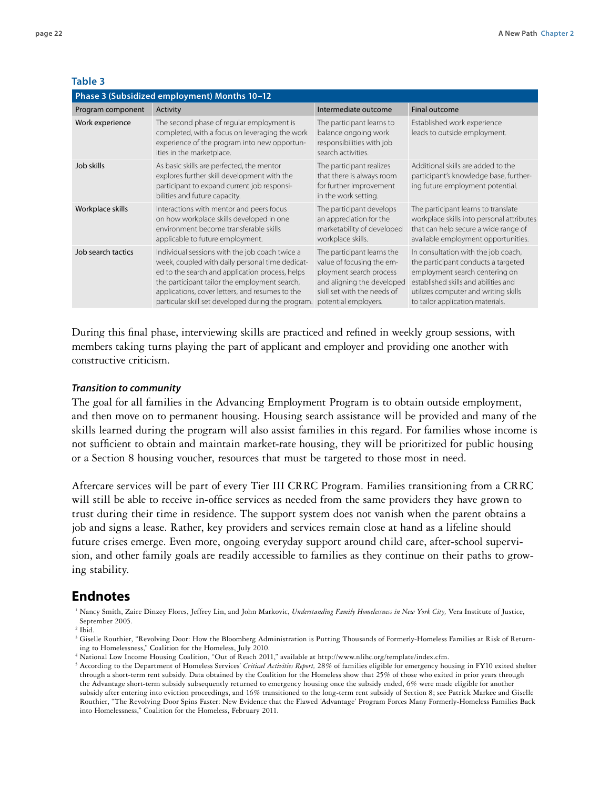#### **Table 3**

| Phase 3 (Subsidized employment) Months 10-12 |                                                                                                                                                                                                                                                                                                                |                                                                                                                                                                         |                                                                                                                                                                                                                                  |
|----------------------------------------------|----------------------------------------------------------------------------------------------------------------------------------------------------------------------------------------------------------------------------------------------------------------------------------------------------------------|-------------------------------------------------------------------------------------------------------------------------------------------------------------------------|----------------------------------------------------------------------------------------------------------------------------------------------------------------------------------------------------------------------------------|
| Program component                            | Activity                                                                                                                                                                                                                                                                                                       | Intermediate outcome                                                                                                                                                    | Final outcome                                                                                                                                                                                                                    |
| Work experience                              | The second phase of regular employment is<br>completed, with a focus on leveraging the work<br>experience of the program into new opportun-<br>ities in the marketplace.                                                                                                                                       | The participant learns to<br>balance ongoing work<br>responsibilities with job<br>search activities.                                                                    | Established work experience<br>leads to outside employment.                                                                                                                                                                      |
| Job skills                                   | As basic skills are perfected, the mentor<br>explores further skill development with the<br>participant to expand current job responsi-<br>bilities and future capacity.                                                                                                                                       | The participant realizes<br>that there is always room<br>for further improvement<br>in the work setting.                                                                | Additional skills are added to the<br>participant's knowledge base, further-<br>ing future employment potential.                                                                                                                 |
| Workplace skills                             | Interactions with mentor and peers focus<br>on how workplace skills developed in one<br>environment become transferable skills<br>applicable to future employment.                                                                                                                                             | The participant develops<br>an appreciation for the<br>marketability of developed<br>workplace skills.                                                                  | The participant learns to translate<br>workplace skills into personal attributes<br>that can help secure a wide range of<br>available employment opportunities.                                                                  |
| Job search tactics                           | Individual sessions with the job coach twice a<br>week, coupled with daily personal time dedicat-<br>ed to the search and application process, helps<br>the participant tailor the employment search,<br>applications, cover letters, and resumes to the<br>particular skill set developed during the program. | The participant learns the<br>value of focusing the em-<br>ployment search process<br>and aligning the developed<br>skill set with the needs of<br>potential employers. | In consultation with the job coach,<br>the participant conducts a targeted<br>employment search centering on<br>established skills and abilities and<br>utilizes computer and writing skills<br>to tailor application materials. |

During this final phase, interviewing skills are practiced and refined in weekly group sessions, with members taking turns playing the part of applicant and employer and providing one another with constructive criticism.

#### *Transition to community*

The goal for all families in the Advancing Employment Program is to obtain outside employment, and then move on to permanent housing. Housing search assistance will be provided and many of the skills learned during the program will also assist families in this regard. For families whose income is not sufficient to obtain and maintain market-rate housing, they will be prioritized for public housing or a Section 8 housing voucher, resources that must be targeted to those most in need.

Aftercare services will be part of every Tier III CRRC Program. Families transitioning from a CRRC will still be able to receive in-office services as needed from the same providers they have grown to trust during their time in residence. The support system does not vanish when the parent obtains a job and signs a lease. Rather, key providers and services remain close at hand as a lifeline should future crises emerge. Even more, ongoing everyday support around child care, after-school supervision, and other family goals are readily accessible to families as they continue on their paths to growing stability.

### **Endnotes**

<sup>1</sup> Nancy Smith, Zaire Dinzey Flores, Jeffrey Lin, and John Markovic, *Understanding Family Homelessness in New York City*, Vera Institute of Justice, September 2005.

<sup>4</sup> National Low Income Housing Coalition, "Out of Reach 2011," available at http://www.nlihc.org/template/index.cfm.

 $^2$  Ibid.

<sup>&</sup>lt;sup>3</sup> Giselle Routhier, "Revolving Door: How the Bloomberg Administration is Putting Thousands of Formerly-Homeless Families at Risk of Returning to Homelessness," Coalition for the Homeless, July 2010.

<sup>5</sup> According to the Department of Homeless Services' *Critical Activities Report,* 28% of families eligible for emergency housing in FY10 exited shelter through a short-term rent subsidy. Data obtained by the Coalition for the Homeless show that 25% of those who exited in prior years through the Advantage short-term subsidy subsequently returned to emergency housing once the subsidy ended, 6% were made eligible for another subsidy after entering into eviction proceedings, and 16% transitioned to the long-term rent subsidy of Section 8; see Patrick Markee and Giselle Routhier, "The Revolving Door Spins Faster: New Evidence that the Flawed 'Advantage' Program Forces Many Formerly-Homeless Families Back into Homelessness," Coalition for the Homeless, February 2011.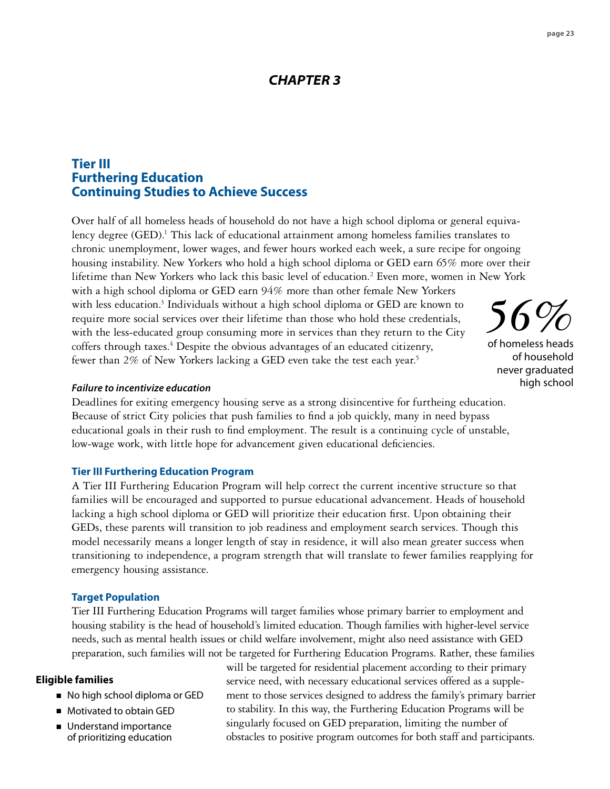## *CHAPTER 3*

## **Tier III Furthering Education Continuing Studies to Achieve Success**

Over half of all homeless heads of household do not have a high school diploma or general equivalency degree (GED).<sup>1</sup> This lack of educational attainment among homeless families translates to chronic unemployment, lower wages, and fewer hours worked each week, a sure recipe for ongoing housing instability. New Yorkers who hold a high school diploma or GED earn 65% more over their lifetime than New Yorkers who lack this basic level of education.2 Even more, women in New York with a high school diploma or GED earn 94% more than other female New Yorkers with less education.<sup>3</sup> Individuals without a high school diploma or GED are known to require more social services over their lifetime than those who hold these credentials, with the less-educated group consuming more in services than they return to the City coffers through taxes.<sup>4</sup> Despite the obvious advantages of an educated citizenry, fewer than 2% of New Yorkers lacking a GED even take the test each year.<sup>5</sup> *56%*

*Failure to incentivize education*

Deadlines for exiting emergency housing serve as a strong disincentive for furtheing education. Because of strict City policies that push families to find a job quickly, many in need bypass educational goals in their rush to find employment. The result is a continuing cycle of unstable, low-wage work, with little hope for advancement given educational deficiencies.

### **Tier III Furthering Education Program**

A Tier III Furthering Education Program will help correct the current incentive structure so that families will be encouraged and supported to pursue educational advancement. Heads of household lacking a high school diploma or GED will prioritize their education first. Upon obtaining their GEDs, these parents will transition to job readiness and employment search services. Though this model necessarily means a longer length of stay in residence, it will also mean greater success when transitioning to independence, a program strength that will translate to fewer families reapplying for emergency housing assistance.

### **Target Population**

Tier III Furthering Education Programs will target families whose primary barrier to employment and housing stability is the head of household's limited education. Though families with higher-level service needs, such as mental health issues or child welfare involvement, might also need assistance with GED preparation, such families will not be targeted for Furthering Education Programs. Rather, these families

#### **Eligible families**

- No high school diploma or GED
- Motivated to obtain GED
- Understand importance of prioritizing education

will be targeted for residential placement according to their primary service need, with necessary educational services offered as a supplement to those services designed to address the family's primary barrier to stability. In this way, the Furthering Education Programs will be singularly focused on GED preparation, limiting the number of obstacles to positive program outcomes for both staff and participants.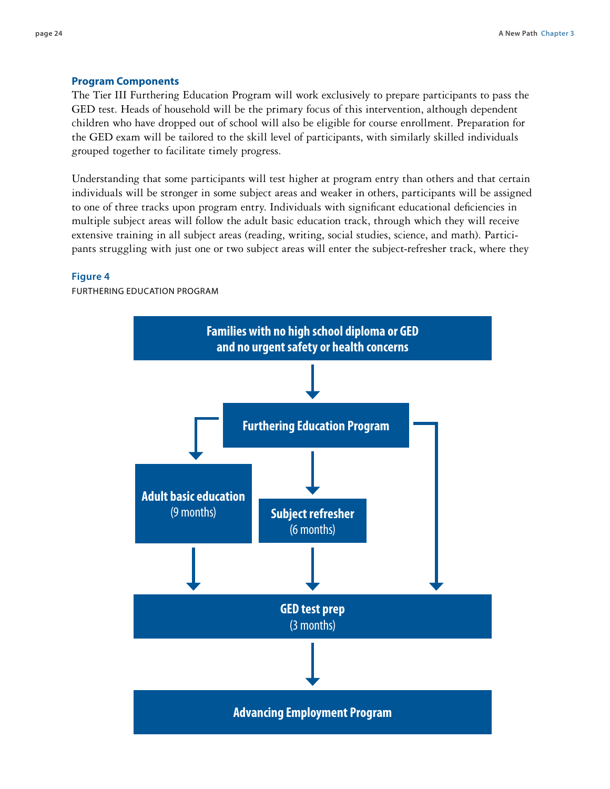#### **Program Components**

The Tier III Furthering Education Program will work exclusively to prepare participants to pass the GED test. Heads of household will be the primary focus of this intervention, although dependent children who have dropped out of school will also be eligible for course enrollment. Preparation for the GED exam will be tailored to the skill level of participants, with similarly skilled individuals grouped together to facilitate timely progress.

Understanding that some participants will test higher at program entry than others and that certain individuals will be stronger in some subject areas and weaker in others, participants will be assigned to one of three tracks upon program entry. Individuals with significant educational deficiencies in multiple subject areas will follow the adult basic education track, through which they will receive extensive training in all subject areas (reading, writing, social studies, science, and math). Participants struggling with just one or two subject areas will enter the subject-refresher track, where they

#### **Figure 4**

Furthering education program

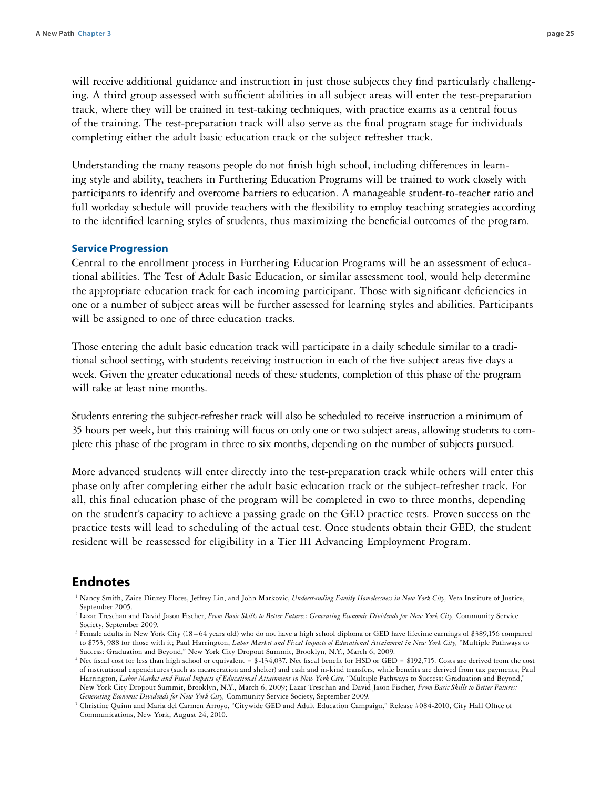will receive additional guidance and instruction in just those subjects they find particularly challenging. A third group assessed with sufficient abilities in all subject areas will enter the test-preparation track, where they will be trained in test-taking techniques, with practice exams as a central focus of the training. The test-preparation track will also serve as the final program stage for individuals completing either the adult basic education track or the subject refresher track.

Understanding the many reasons people do not finish high school, including differences in learning style and ability, teachers in Furthering Education Programs will be trained to work closely with participants to identify and overcome barriers to education. A manageable student-to-teacher ratio and full workday schedule will provide teachers with the flexibility to employ teaching strategies according to the identified learning styles of students, thus maximizing the beneficial outcomes of the program.

#### **Service Progression**

Central to the enrollment process in Furthering Education Programs will be an assessment of educational abilities. The Test of Adult Basic Education, or similar assessment tool, would help determine the appropriate education track for each incoming participant. Those with significant deficiencies in one or a number of subject areas will be further assessed for learning styles and abilities. Participants will be assigned to one of three education tracks.

Those entering the adult basic education track will participate in a daily schedule similar to a traditional school setting, with students receiving instruction in each of the five subject areas five days a week. Given the greater educational needs of these students, completion of this phase of the program will take at least nine months.

Students entering the subject-refresher track will also be scheduled to receive instruction a minimum of 35 hours per week, but this training will focus on only one or two subject areas, allowing students to complete this phase of the program in three to six months, depending on the number of subjects pursued.

More advanced students will enter directly into the test-preparation track while others will enter this phase only after completing either the adult basic education track or the subject-refresher track. For all, this final education phase of the program will be completed in two to three months, depending on the student's capacity to achieve a passing grade on the GED practice tests. Proven success on the practice tests will lead to scheduling of the actual test. Once students obtain their GED, the student resident will be reassessed for eligibility in a Tier III Advancing Employment Program.

### **Endnotes**

- <sup>1</sup> Nancy Smith, Zaire Dinzey Flores, Jeffrey Lin, and John Markovic, *Understanding Family Homelessness in New York City,* Vera Institute of Justice, September 2005.
- <sup>2</sup> Lazar Treschan and David Jason Fischer, From Basic Skills to Better Futures: Generating Economic Dividends for New York City, Community Service Society, September 2009.
- <sup>3</sup> Female adults in New York City (18 64 years old) who do not have a high school diploma or GED have lifetime earnings of \$389,156 compared to \$753, 988 for those with it; Paul Harrington, *Labor Market and Fiscal Impacts of Educational Attainment in New York City,* "Multiple Pathways to Success: Graduation and Beyond," New York City Dropout Summit, Brooklyn, N.Y., March 6, 2009.
- <sup>4</sup> Net fiscal cost for less than high school or equivalent = \$-134,037. Net fiscal benefit for HSD or GED = \$192,715. Costs are derived from the cost of institutional expenditures (such as incarceration and shelter) and cash and in-kind transfers, while benefits are derived from tax payments; Paul Harrington, Labor Market and Fiscal Impacts of Educational Attainment in New York City, "Multiple Pathways to Success: Graduation and Beyond," New York City Dropout Summit, Brooklyn, N.Y., March 6, 2009; Lazar Treschan and David Jason Fischer, *From Basic Skills to Better Futures: Generating Economic Dividends for New York City,* Community Service Society, September 2009.
- <sup>5</sup> Christine Quinn and Maria del Carmen Arroyo, "Citywide GED and Adult Education Campaign," Release #084-2010, City Hall Office of Communications, New York, August 24, 2010.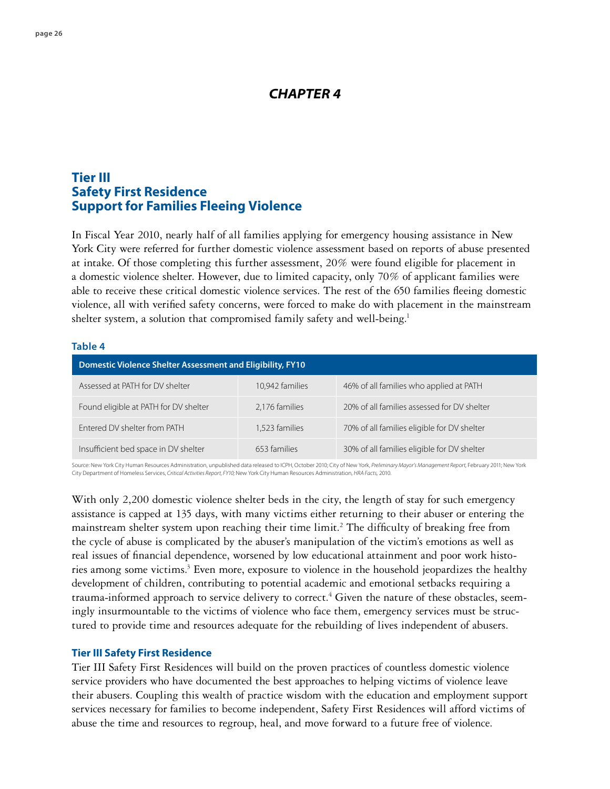## *CHAPTER 4*

## **Tier III Safety First Residence Support for Families Fleeing Violence**

In Fiscal Year 2010, nearly half of all families applying for emergency housing assistance in New York City were referred for further domestic violence assessment based on reports of abuse presented at intake. Of those completing this further assessment, 20% were found eligible for placement in a domestic violence shelter. However, due to limited capacity, only 70% of applicant families were able to receive these critical domestic violence services. The rest of the 650 families fleeing domestic violence, all with verified safety concerns, were forced to make do with placement in the mainstream shelter system, a solution that compromised family safety and well-being.<sup>1</sup>

#### **Table 4**

| <b>Domestic Violence Shelter Assessment and Eligibility, FY10</b> |                 |                                             |  |  |
|-------------------------------------------------------------------|-----------------|---------------------------------------------|--|--|
| Assessed at PATH for DV shelter                                   | 10,942 families | 46% of all families who applied at PATH     |  |  |
| Found eligible at PATH for DV shelter                             | 2,176 families  | 20% of all families assessed for DV shelter |  |  |
| Entered DV shelter from PATH                                      | 1,523 families  | 70% of all families eligible for DV shelter |  |  |
| Insufficient bed space in DV shelter                              | 653 families    | 30% of all families eligible for DV shelter |  |  |

Source: New York City Human Resources Administration, unpublished data released to ICPH, October 2010; City of New York, *Preliminary Mayor's Management Report,* February 2011; New York City Department of Homeless Services, *Critical Activities Report, FY10;* New York City Human Resources Administration, *HRA Facts,* 2010.

With only 2,200 domestic violence shelter beds in the city, the length of stay for such emergency assistance is capped at 135 days, with many victims either returning to their abuser or entering the mainstream shelter system upon reaching their time limit.<sup>2</sup> The difficulty of breaking free from the cycle of abuse is complicated by the abuser's manipulation of the victim's emotions as well as real issues of financial dependence, worsened by low educational attainment and poor work histories among some victims.<sup>3</sup> Even more, exposure to violence in the household jeopardizes the healthy development of children, contributing to potential academic and emotional setbacks requiring a trauma-informed approach to service delivery to correct.<sup>4</sup> Given the nature of these obstacles, seemingly insurmountable to the victims of violence who face them, emergency services must be structured to provide time and resources adequate for the rebuilding of lives independent of abusers.

#### **Tier III Safety First Residence**

Tier III Safety First Residences will build on the proven practices of countless domestic violence service providers who have documented the best approaches to helping victims of violence leave their abusers. Coupling this wealth of practice wisdom with the education and employment support services necessary for families to become independent, Safety First Residences will afford victims of abuse the time and resources to regroup, heal, and move forward to a future free of violence.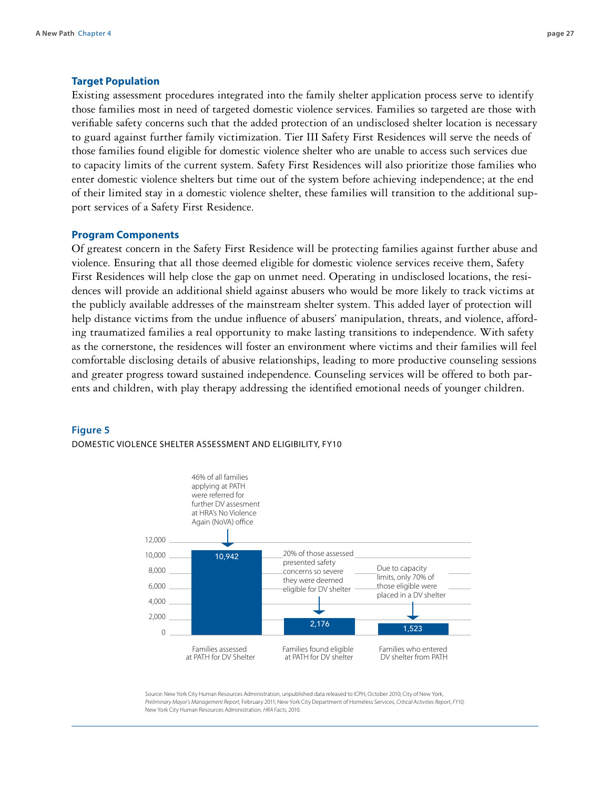#### **Target Population**

Existing assessment procedures integrated into the family shelter application process serve to identify those families most in need of targeted domestic violence services. Families so targeted are those with verifiable safety concerns such that the added protection of an undisclosed shelter location is necessary to guard against further family victimization. Tier III Safety First Residences will serve the needs of those families found eligible for domestic violence shelter who are unable to access such services due to capacity limits of the current system. Safety First Residences will also prioritize those families who enter domestic violence shelters but time out of the system before achieving independence; at the end of their limited stay in a domestic violence shelter, these families will transition to the additional support services of a Safety First Residence.

#### **Program Components**

Of greatest concern in the Safety First Residence will be protecting families against further abuse and violence. Ensuring that all those deemed eligible for domestic violence services receive them, Safety First Residences will help close the gap on unmet need. Operating in undisclosed locations, the residences will provide an additional shield against abusers who would be more likely to track victims at the publicly available addresses of the mainstream shelter system. This added layer of protection will help distance victims from the undue influence of abusers' manipulation, threats, and violence, affording traumatized families a real opportunity to make lasting transitions to independence. With safety as the cornerstone, the residences will foster an environment where victims and their families will feel comfortable disclosing details of abusive relationships, leading to more productive counseling sessions and greater progress toward sustained independence. Counseling services will be offered to both parents and children, with play therapy addressing the identified emotional needs of younger children.

#### **Figure 5**

#### Domestic violence shelter assessment and eligibility, FY10



Source: New York City Human Resources Administration, unpublished data released to ICPH, October 2010; City of New York, *Preliminary Mayor's Management Report,* February 2011; New York City Department of Homeless Services, *Critical Activities Report, FY10;*  New York City Human Resources Administration, *HRA Facts,* 2010.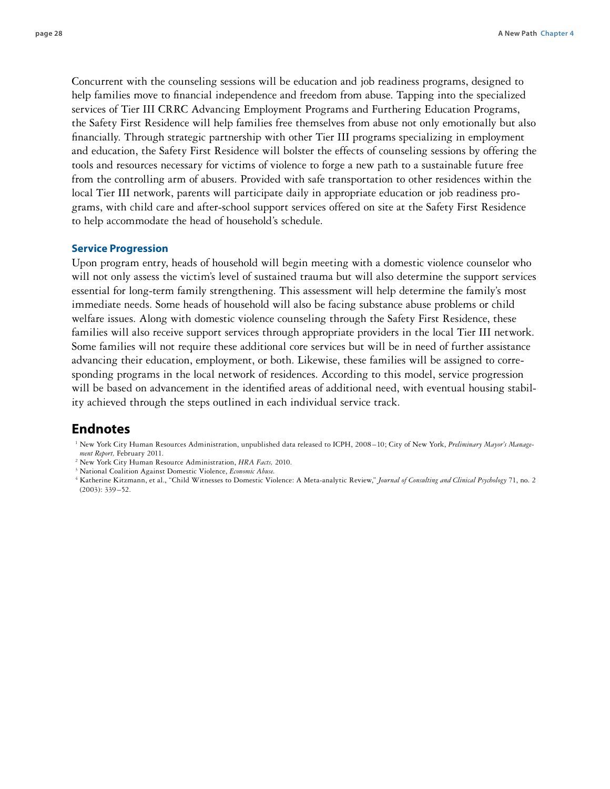Concurrent with the counseling sessions will be education and job readiness programs, designed to help families move to financial independence and freedom from abuse. Tapping into the specialized services of Tier III CRRC Advancing Employment Programs and Furthering Education Programs, the Safety First Residence will help families free themselves from abuse not only emotionally but also financially. Through strategic partnership with other Tier III programs specializing in employment and education, the Safety First Residence will bolster the effects of counseling sessions by offering the tools and resources necessary for victims of violence to forge a new path to a sustainable future free from the controlling arm of abusers. Provided with safe transportation to other residences within the local Tier III network, parents will participate daily in appropriate education or job readiness programs, with child care and after-school support services offered on site at the Safety First Residence to help accommodate the head of household's schedule.

#### **Service Progression**

Upon program entry, heads of household will begin meeting with a domestic violence counselor who will not only assess the victim's level of sustained trauma but will also determine the support services essential for long-term family strengthening. This assessment will help determine the family's most immediate needs. Some heads of household will also be facing substance abuse problems or child welfare issues. Along with domestic violence counseling through the Safety First Residence, these families will also receive support services through appropriate providers in the local Tier III network. Some families will not require these additional core services but will be in need of further assistance advancing their education, employment, or both. Likewise, these families will be assigned to corresponding programs in the local network of residences. According to this model, service progression will be based on advancement in the identified areas of additional need, with eventual housing stability achieved through the steps outlined in each individual service track.

### **Endnotes**

- <sup>1</sup> New York City Human Resources Administration, unpublished data released to ICPH, 2008–10; City of New York, *Preliminary Mayor's Management Report,* February 2011.
- <sup>2</sup> New York City Human Resource Administration, *HRA Facts,* 2010.
- <sup>3</sup> National Coalition Against Domestic Violence, *Economic Abuse.*

<sup>4</sup> Katherine Kitzmann, et al., "Child Witnesses to Domestic Violence: A Meta-analytic Review," *Journal of Consulting and Clinical Psychology* 71, no. 2  $(2003): 339 - 52.$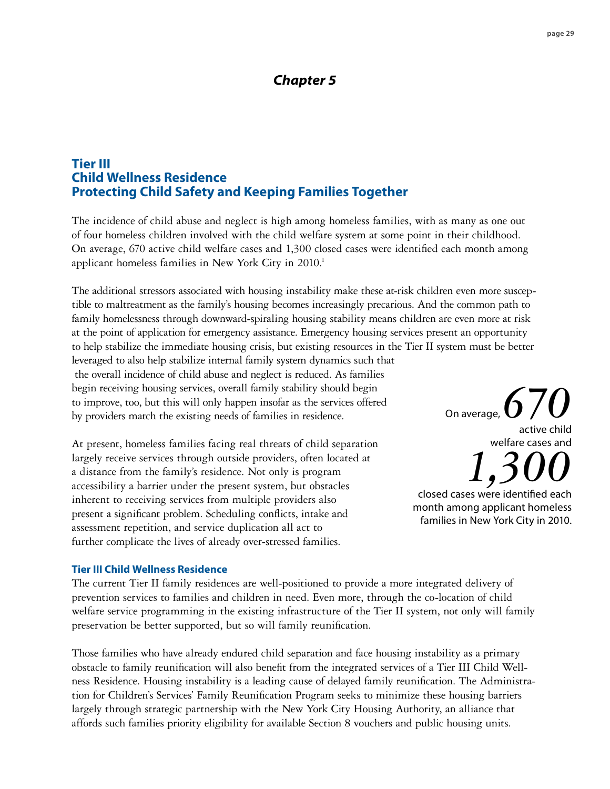## *Chapter 5*

## **Tier III Child Wellness Residence Protecting Child Safety and Keeping Families Together**

The incidence of child abuse and neglect is high among homeless families, with as many as one out of four homeless children involved with the child welfare system at some point in their childhood. On average, 670 active child welfare cases and 1,300 closed cases were identified each month among applicant homeless families in New York City in 2010.<sup>1</sup>

The additional stressors associated with housing instability make these at-risk children even more susceptible to maltreatment as the family's housing becomes increasingly precarious. And the common path to family homelessness through downward-spiraling housing stability means children are even more at risk at the point of application for emergency assistance. Emergency housing services present an opportunity to help stabilize the immediate housing crisis, but existing resources in the Tier II system must be better

leveraged to also help stabilize internal family system dynamics such that the overall incidence of child abuse and neglect is reduced. As families begin receiving housing services, overall family stability should begin to improve, too, but this will only happen insofar as the services offered by providers match the existing needs of families in residence.

At present, homeless families facing real threats of child separation largely receive services through outside providers, often located at a distance from the family's residence. Not only is program accessibility a barrier under the present system, but obstacles inherent to receiving services from multiple providers also present a significant problem. Scheduling conflicts, intake and assessment repetition, and service duplication all act to further complicate the lives of already over-stressed families.

#### **Tier III Child Wellness Residence**

The current Tier II family residences are well-positioned to provide a more integrated delivery of prevention services to families and children in need. Even more, through the co-location of child welfare service programming in the existing infrastructure of the Tier II system, not only will family preservation be better supported, but so will family reunification.

Those families who have already endured child separation and face housing instability as a primary obstacle to family reunification will also benefit from the integrated services of a Tier III Child Wellness Residence. Housing instability is a leading cause of delayed family reunification. The Administration for Children's Services' Family Reunification Program seeks to minimize these housing barriers largely through strategic partnership with the New York City Housing Authority, an alliance that affords such families priority eligibility for available Section 8 vouchers and public housing units.

On average,  $\bigcirc$ active child welfare cases and

*1,300* closed cases were identified each month among applicant homeless families in New York City in 2010.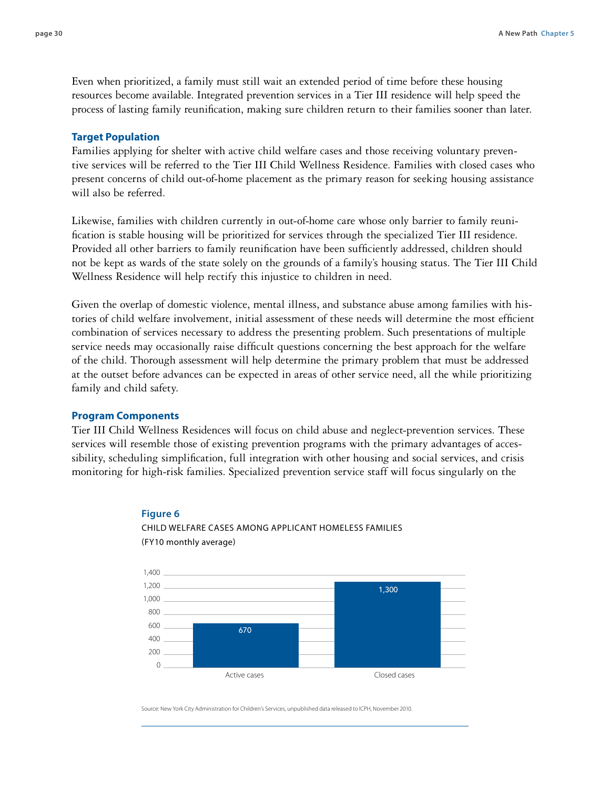Even when prioritized, a family must still wait an extended period of time before these housing resources become available. Integrated prevention services in a Tier III residence will help speed the process of lasting family reunification, making sure children return to their families sooner than later.

#### **Target Population**

Families applying for shelter with active child welfare cases and those receiving voluntary preventive services will be referred to the Tier III Child Wellness Residence. Families with closed cases who present concerns of child out-of-home placement as the primary reason for seeking housing assistance will also be referred.

Likewise, families with children currently in out-of-home care whose only barrier to family reunification is stable housing will be prioritized for services through the specialized Tier III residence. Provided all other barriers to family reunification have been sufficiently addressed, children should not be kept as wards of the state solely on the grounds of a family's housing status. The Tier III Child Wellness Residence will help rectify this injustice to children in need.

Given the overlap of domestic violence, mental illness, and substance abuse among families with histories of child welfare involvement, initial assessment of these needs will determine the most efficient combination of services necessary to address the presenting problem. Such presentations of multiple service needs may occasionally raise difficult questions concerning the best approach for the welfare of the child. Thorough assessment will help determine the primary problem that must be addressed at the outset before advances can be expected in areas of other service need, all the while prioritizing family and child safety.

#### **Program Components**

Tier III Child Wellness Residences will focus on child abuse and neglect-prevention services. These services will resemble those of existing prevention programs with the primary advantages of accessibility, scheduling simplification, full integration with other housing and social services, and crisis monitoring for high-risk families. Specialized prevention service staff will focus singularly on the

#### **Figure 6**



Child welfare cases among applicant homeless families (FY10 monthly average)

Source: New York City Administration for Children's Services, unpublished data released to ICPH, November 2010.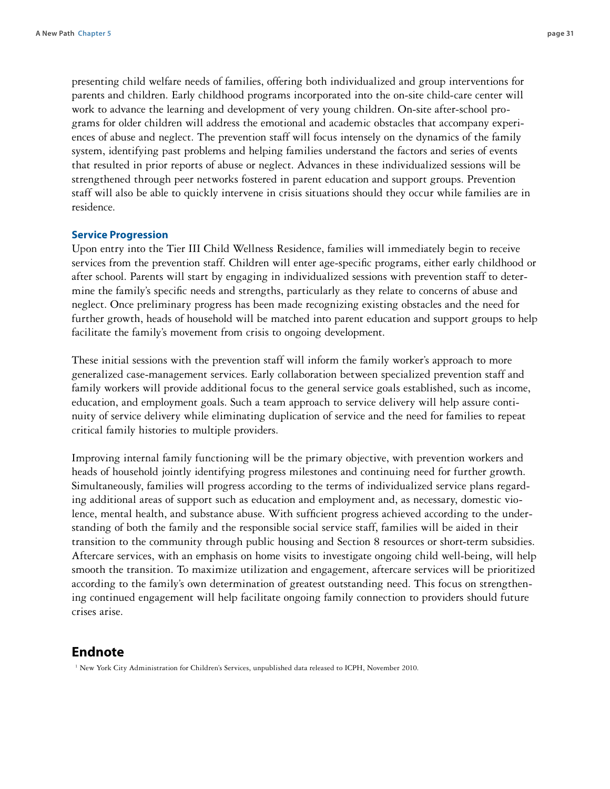presenting child welfare needs of families, offering both individualized and group interventions for parents and children. Early childhood programs incorporated into the on-site child-care center will work to advance the learning and development of very young children. On-site after-school programs for older children will address the emotional and academic obstacles that accompany experiences of abuse and neglect. The prevention staff will focus intensely on the dynamics of the family system, identifying past problems and helping families understand the factors and series of events that resulted in prior reports of abuse or neglect. Advances in these individualized sessions will be strengthened through peer networks fostered in parent education and support groups. Prevention staff will also be able to quickly intervene in crisis situations should they occur while families are in residence.

#### **Service Progression**

Upon entry into the Tier III Child Wellness Residence, families will immediately begin to receive services from the prevention staff. Children will enter age-specific programs, either early childhood or after school. Parents will start by engaging in individualized sessions with prevention staff to determine the family's specific needs and strengths, particularly as they relate to concerns of abuse and neglect. Once preliminary progress has been made recognizing existing obstacles and the need for further growth, heads of household will be matched into parent education and support groups to help facilitate the family's movement from crisis to ongoing development.

These initial sessions with the prevention staff will inform the family worker's approach to more generalized case-management services. Early collaboration between specialized prevention staff and family workers will provide additional focus to the general service goals established, such as income, education, and employment goals. Such a team approach to service delivery will help assure continuity of service delivery while eliminating duplication of service and the need for families to repeat critical family histories to multiple providers.

Improving internal family functioning will be the primary objective, with prevention workers and heads of household jointly identifying progress milestones and continuing need for further growth. Simultaneously, families will progress according to the terms of individualized service plans regarding additional areas of support such as education and employment and, as necessary, domestic violence, mental health, and substance abuse. With sufficient progress achieved according to the understanding of both the family and the responsible social service staff, families will be aided in their transition to the community through public housing and Section 8 resources or short-term subsidies. Aftercare services, with an emphasis on home visits to investigate ongoing child well-being, will help smooth the transition. To maximize utilization and engagement, aftercare services will be prioritized according to the family's own determination of greatest outstanding need. This focus on strengthening continued engagement will help facilitate ongoing family connection to providers should future crises arise.

#### **Endnote**

<sup>1</sup> New York City Administration for Children's Services, unpublished data released to ICPH, November 2010.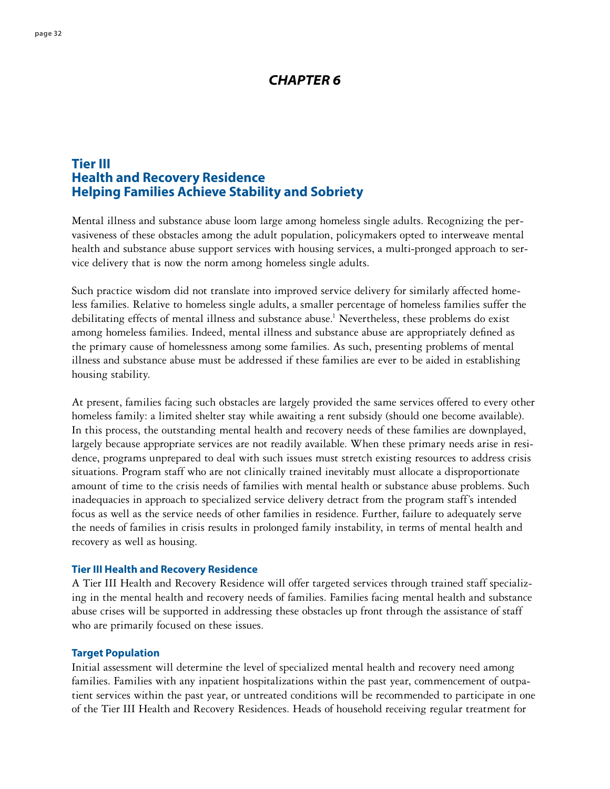## *CHAPTER 6*

## **Tier III Health and Recovery Residence Helping Families Achieve Stability and Sobriety**

Mental illness and substance abuse loom large among homeless single adults. Recognizing the pervasiveness of these obstacles among the adult population, policymakers opted to interweave mental health and substance abuse support services with housing services, a multi-pronged approach to service delivery that is now the norm among homeless single adults.

Such practice wisdom did not translate into improved service delivery for similarly affected homeless families. Relative to homeless single adults, a smaller percentage of homeless families suffer the debilitating effects of mental illness and substance abuse.<sup>1</sup> Nevertheless, these problems do exist among homeless families. Indeed, mental illness and substance abuse are appropriately defined as the primary cause of homelessness among some families. As such, presenting problems of mental illness and substance abuse must be addressed if these families are ever to be aided in establishing housing stability.

At present, families facing such obstacles are largely provided the same services offered to every other homeless family: a limited shelter stay while awaiting a rent subsidy (should one become available). In this process, the outstanding mental health and recovery needs of these families are downplayed, largely because appropriate services are not readily available. When these primary needs arise in residence, programs unprepared to deal with such issues must stretch existing resources to address crisis situations. Program staff who are not clinically trained inevitably must allocate a disproportionate amount of time to the crisis needs of families with mental health or substance abuse problems. Such inadequacies in approach to specialized service delivery detract from the program staff's intended focus as well as the service needs of other families in residence. Further, failure to adequately serve the needs of families in crisis results in prolonged family instability, in terms of mental health and recovery as well as housing.

#### **Tier III Health and Recovery Residence**

A Tier III Health and Recovery Residence will offer targeted services through trained staff specializing in the mental health and recovery needs of families. Families facing mental health and substance abuse crises will be supported in addressing these obstacles up front through the assistance of staff who are primarily focused on these issues.

#### **Target Population**

Initial assessment will determine the level of specialized mental health and recovery need among families. Families with any inpatient hospitalizations within the past year, commencement of outpatient services within the past year, or untreated conditions will be recommended to participate in one of the Tier III Health and Recovery Residences. Heads of household receiving regular treatment for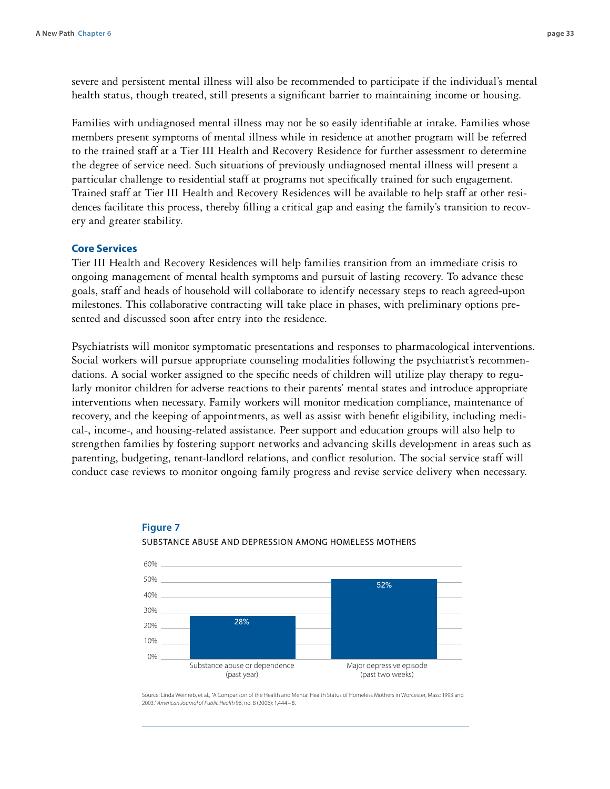severe and persistent mental illness will also be recommended to participate if the individual's mental health status, though treated, still presents a significant barrier to maintaining income or housing.

Families with undiagnosed mental illness may not be so easily identifiable at intake. Families whose members present symptoms of mental illness while in residence at another program will be referred to the trained staff at a Tier III Health and Recovery Residence for further assessment to determine the degree of service need. Such situations of previously undiagnosed mental illness will present a particular challenge to residential staff at programs not specifically trained for such engagement. Trained staff at Tier III Health and Recovery Residences will be available to help staff at other residences facilitate this process, thereby filling a critical gap and easing the family's transition to recovery and greater stability.

#### **Core Services**

Tier III Health and Recovery Residences will help families transition from an immediate crisis to ongoing management of mental health symptoms and pursuit of lasting recovery. To advance these goals, staff and heads of household will collaborate to identify necessary steps to reach agreed-upon milestones. This collaborative contracting will take place in phases, with preliminary options presented and discussed soon after entry into the residence.

Psychiatrists will monitor symptomatic presentations and responses to pharmacological interventions. Social workers will pursue appropriate counseling modalities following the psychiatrist's recommendations. A social worker assigned to the specific needs of children will utilize play therapy to regularly monitor children for adverse reactions to their parents' mental states and introduce appropriate interventions when necessary. Family workers will monitor medication compliance, maintenance of recovery, and the keeping of appointments, as well as assist with benefit eligibility, including medical-, income-, and housing-related assistance. Peer support and education groups will also help to strengthen families by fostering support networks and advancing skills development in areas such as parenting, budgeting, tenant-landlord relations, and conflict resolution. The social service staff will conduct case reviews to monitor ongoing family progress and revise service delivery when necessary.



#### **Figure 7** Substance Abuse and Depression Among Homeless Mothers

Source: Linda Weinreb, et al., "A Comparison of the Health and Mental Health Status of Homeless Mothers in Worcester, Mass: 1993 and 2003,*" American Journal of Public Health* 96, no. 8 (2006): 1,444 – 8.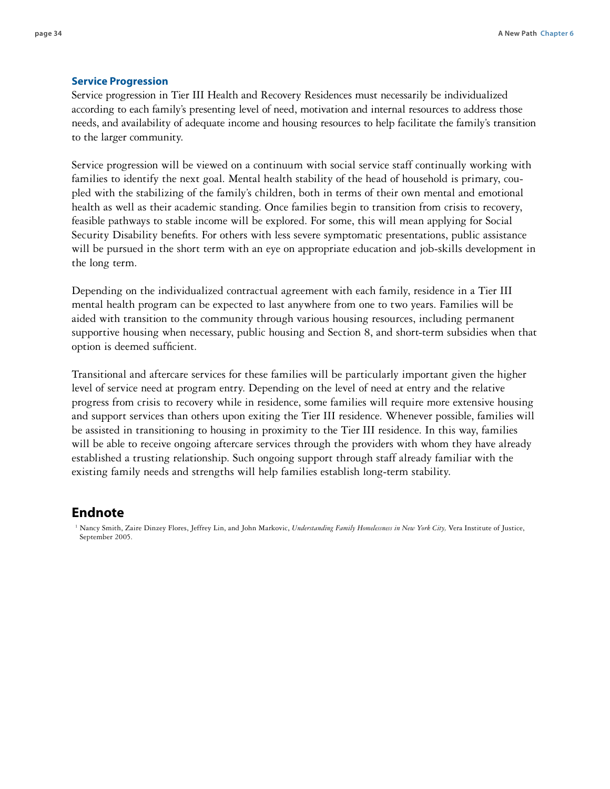#### **Service Progression**

Service progression in Tier III Health and Recovery Residences must necessarily be individualized according to each family's presenting level of need, motivation and internal resources to address those needs, and availability of adequate income and housing resources to help facilitate the family's transition to the larger community.

Service progression will be viewed on a continuum with social service staff continually working with families to identify the next goal. Mental health stability of the head of household is primary, coupled with the stabilizing of the family's children, both in terms of their own mental and emotional health as well as their academic standing. Once families begin to transition from crisis to recovery, feasible pathways to stable income will be explored. For some, this will mean applying for Social Security Disability benefits. For others with less severe symptomatic presentations, public assistance will be pursued in the short term with an eye on appropriate education and job-skills development in the long term.

Depending on the individualized contractual agreement with each family, residence in a Tier III mental health program can be expected to last anywhere from one to two years. Families will be aided with transition to the community through various housing resources, including permanent supportive housing when necessary, public housing and Section 8, and short-term subsidies when that option is deemed sufficient.

Transitional and aftercare services for these families will be particularly important given the higher level of service need at program entry. Depending on the level of need at entry and the relative progress from crisis to recovery while in residence, some families will require more extensive housing and support services than others upon exiting the Tier III residence. Whenever possible, families will be assisted in transitioning to housing in proximity to the Tier III residence. In this way, families will be able to receive ongoing aftercare services through the providers with whom they have already established a trusting relationship. Such ongoing support through staff already familiar with the existing family needs and strengths will help families establish long-term stability.

## **Endnote**

<sup>1</sup> Nancy Smith, Zaire Dinzey Flores, Jeffrey Lin, and John Markovic, *Understanding Family Homelessness in New York City*, Vera Institute of Justice, September 2005.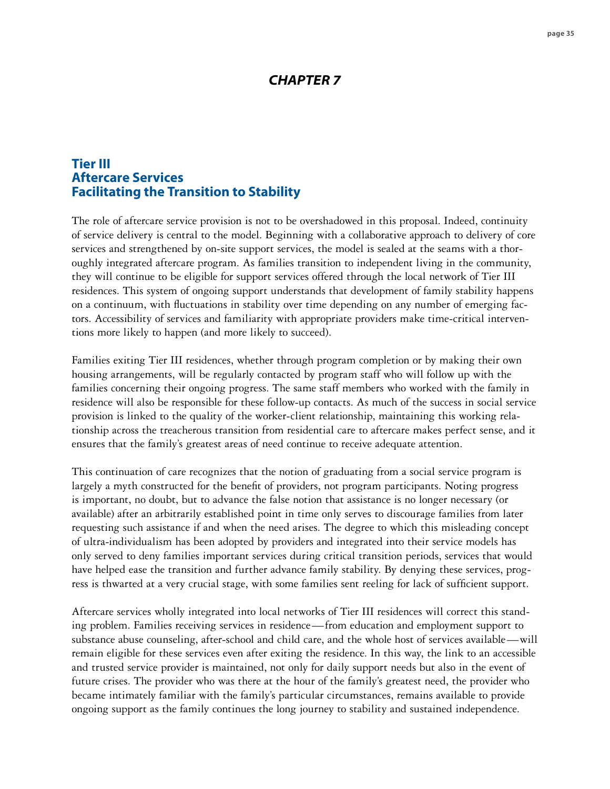## *CHAPTER 7*

## **Tier III Aftercare Services Facilitating the Transition to Stability**

The role of aftercare service provision is not to be overshadowed in this proposal. Indeed, continuity of service delivery is central to the model. Beginning with a collaborative approach to delivery of core services and strengthened by on-site support services, the model is sealed at the seams with a thoroughly integrated aftercare program. As families transition to independent living in the community, they will continue to be eligible for support services offered through the local network of Tier III residences. This system of ongoing support understands that development of family stability happens on a continuum, with fluctuations in stability over time depending on any number of emerging factors. Accessibility of services and familiarity with appropriate providers make time-critical interventions more likely to happen (and more likely to succeed).

Families exiting Tier III residences, whether through program completion or by making their own housing arrangements, will be regularly contacted by program staff who will follow up with the families concerning their ongoing progress. The same staff members who worked with the family in residence will also be responsible for these follow-up contacts. As much of the success in social service provision is linked to the quality of the worker-client relationship, maintaining this working relationship across the treacherous transition from residential care to aftercare makes perfect sense, and it ensures that the family's greatest areas of need continue to receive adequate attention.

This continuation of care recognizes that the notion of graduating from a social service program is largely a myth constructed for the benefit of providers, not program participants. Noting progress is important, no doubt, but to advance the false notion that assistance is no longer necessary (or available) after an arbitrarily established point in time only serves to discourage families from later requesting such assistance if and when the need arises. The degree to which this misleading concept of ultra-individualism has been adopted by providers and integrated into their service models has only served to deny families important services during critical transition periods, services that would have helped ease the transition and further advance family stability. By denying these services, progress is thwarted at a very crucial stage, with some families sent reeling for lack of sufficient support.

Aftercare services wholly integrated into local networks of Tier III residences will correct this standing problem. Families receiving services in residence—from education and employment support to substance abuse counseling, after-school and child care, and the whole host of services available—will remain eligible for these services even after exiting the residence. In this way, the link to an accessible and trusted service provider is maintained, not only for daily support needs but also in the event of future crises. The provider who was there at the hour of the family's greatest need, the provider who became intimately familiar with the family's particular circumstances, remains available to provide ongoing support as the family continues the long journey to stability and sustained independence.